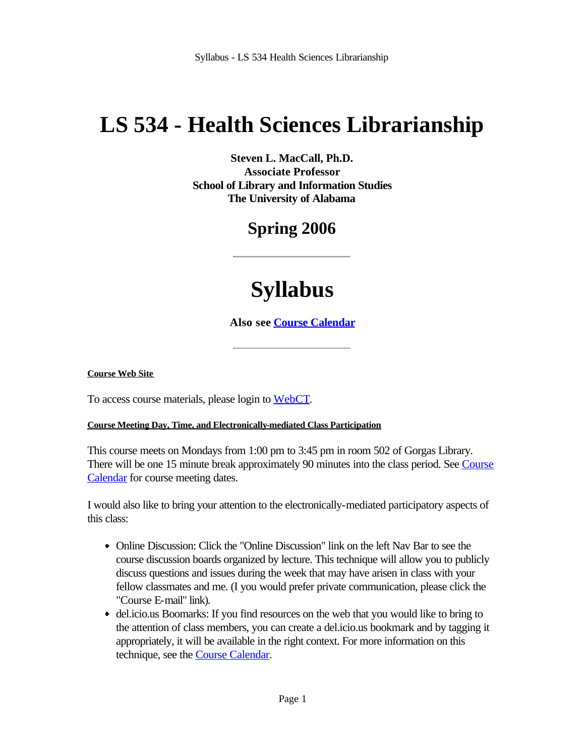# **LS 534 - Health Sciences Librarianship**

**Steven L. MacCall, Ph.D. Associate Professor School of Library and Information Studies The University of Alabama**

## **Spring 2006**

# **Syllabus**

**Also see Course Calendar**

#### **Course Web Site**

To access course materials, please login to WebCT.

#### **Course Meeting Day, Time, and Electronically-mediated Class Participation**

This course meets on Mondays from 1:00 pm to 3:45 pm in room 502 of Gorgas Library. There will be one 15 minute break approximately 90 minutes into the class period. See Course Calendar for course meeting dates.

I would also like to bring your attention to the electronically-mediated participatory aspects of this class:

- Online Discussion: Click the "Online Discussion" link on the left Nav Bar to see the course discussion boards organized by lecture. This technique will allow you to publicly discuss questions and issues during the week that may have arisen in class with your fellow classmates and me. (I you would prefer private communication, please click the "Course E-mail" link).
- del.icio.us Boomarks: If you find resources on the web that you would like to bring to the attention of class members, you can create a del.icio.us bookmark and by tagging it appropriately, it will be available in the right context. For more information on this technique, see the **Course Calendar**.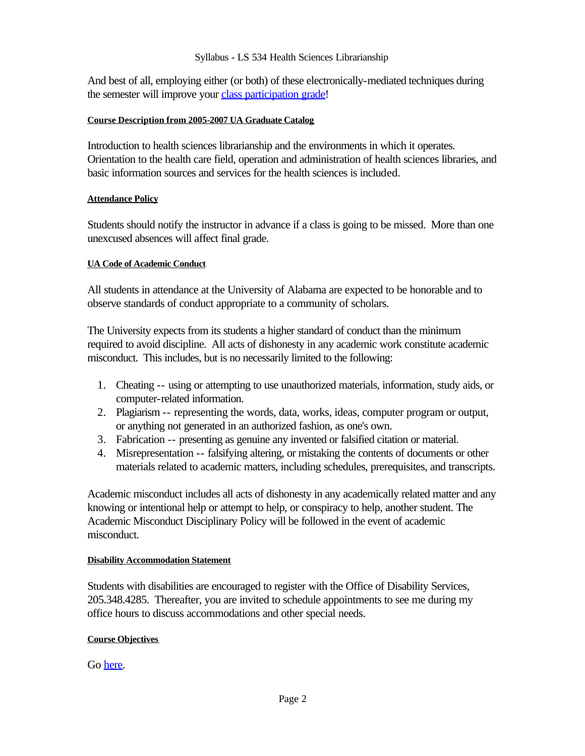And best of all, employing either (or both) of these electronically-mediated techniques during the semester will improve your class participation grade!

#### **Course Description from 2005-2007 UA Graduate Catalog**

Introduction to health sciences librarianship and the environments in which it operates. Orientation to the health care field, operation and administration of health sciences libraries, and basic information sources and services for the health sciences is included.

#### **Attendance Policy**

Students should notify the instructor in advance if a class is going to be missed. More than one unexcused absences will affect final grade.

#### **UA Code of Academic Conduct**

All students in attendance at the University of Alabama are expected to be honorable and to observe standards of conduct appropriate to a community of scholars.

The University expects from its students a higher standard of conduct than the minimum required to avoid discipline. All acts of dishonesty in any academic work constitute academic misconduct. This includes, but is no necessarily limited to the following:

- Cheating -- using or attempting to use unauthorized materials, information, study aids, or 1. computer-related information.
- Plagiarism -- representing the words, data, works, ideas, computer program or output, 2. or anything not generated in an authorized fashion, as one's own.
- Fabrication -- presenting as genuine any invented or falsified citation or material. 3.
- Misrepresentation -- falsifying altering, or mistaking the contents of documents or other 4. materials related to academic matters, including schedules, prerequisites, and transcripts.

Academic misconduct includes all acts of dishonesty in any academically related matter and any knowing or intentional help or attempt to help, or conspiracy to help, another student. The Academic Misconduct Disciplinary Policy will be followed in the event of academic misconduct.

#### **Disability Accommodation Statement**

Students with disabilities are encouraged to register with the Office of Disability Services, 205.348.4285. Thereafter, you are invited to schedule appointments to see me during my office hours to discuss accommodations and other special needs.

#### **Course Objectives**

Go here.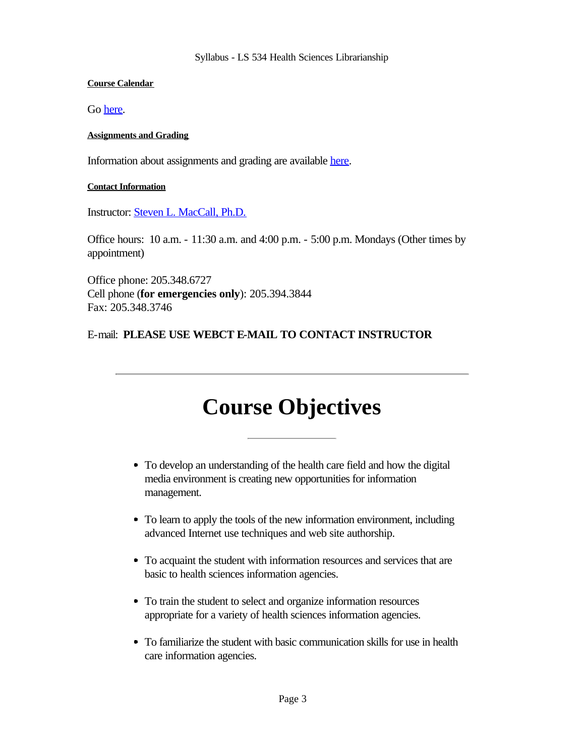#### **Course Calendar**

Go here.

#### **Assignments and Grading**

Information about assignments and grading are available here.

#### **Contact Information**

Instructor: **Steven L. MacCall, Ph.D.** 

Office hours: 10 a.m. - 11:30 a.m. and 4:00 p.m. - 5:00 p.m. Mondays (Other times by appointment)

Office phone: 205.348.6727 Cell phone (**for emergencies only**): 205.394.3844 Fax: 205.348.3746

### E-mail: **PLEASE USE WEBCT E-MAIL TO CONTACT INSTRUCTOR**

## **Course Objectives**

- To develop an understanding of the health care field and how the digital media environment is creating new opportunities for information management.
- To learn to apply the tools of the new information environment, including advanced Internet use techniques and web site authorship.
- To acquaint the student with information resources and services that are basic to health sciences information agencies.
- To train the student to select and organize information resources appropriate for a variety of health sciences information agencies.
- To familiarize the student with basic communication skills for use in health care information agencies.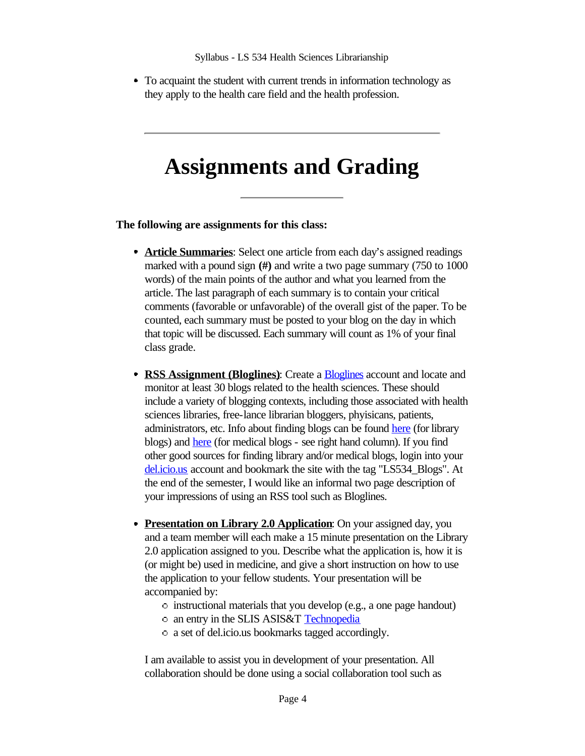To acquaint the student with current trends in information technology as they apply to the health care field and the health profession.

## **Assignments and Grading**

#### **The following are assignments for this class:**

- **Article Summaries**: Select one article from each day's assigned readings marked with a pound sign **(#)** and write a two page summary (750 to 1000 words) of the main points of the author and what you learned from the article. The last paragraph of each summary is to contain your critical comments (favorable or unfavorable) of the overall gist of the paper. To be counted, each summary must be posted to your blog on the day in which that topic will be discussed. Each summary will count as 1% of your final class grade.
- **RSS Assignment (Bloglines)**: Create a Bloglines account and locate and monitor at least 30 blogs related to the health sciences. These should include a variety of blogging contexts, including those associated with health sciences libraries, free-lance librarian bloggers, phyisicans, patients, administrators, etc. Info about finding blogs can be found here (for library blogs) and here (for medical blogs - see right hand column). If you find other good sources for finding library and/or medical blogs, login into your del.icio.us account and bookmark the site with the tag "LS534 Blogs". At the end of the semester, I would like an informal two page description of your impressions of using an RSS tool such as Bloglines.
- **Presentation on Library 2.0 Application**: On your assigned day, you and a team member will each make a 15 minute presentation on the Library 2.0 application assigned to you. Describe what the application is, how it is (or might be) used in medicine, and give a short instruction on how to use the application to your fellow students. Your presentation will be accompanied by:
	- instructional materials that you develop (e.g., a one page handout)
	- o an entry in the SLIS ASIS&T Technopedia
	- a set of del.icio.us bookmarks tagged accordingly.

I am available to assist you in development of your presentation. All collaboration should be done using a social collaboration tool such as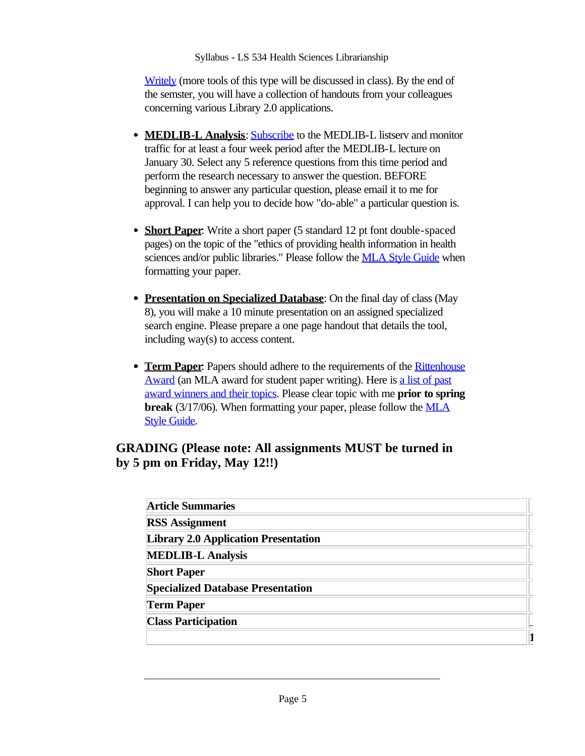Writely (more tools of this type will be discussed in class). By the end of the semster, you will have a collection of handouts from your colleagues concerning various Library 2.0 applications.

- **MEDLIB-L Analysis: Subscribe to the MEDLIB-L listsery and monitor** traffic for at least a four week period after the MEDLIB-L lecture on January 30. Select any 5 reference questions from this time period and perform the research necessary to answer the question. BEFORE beginning to answer any particular question, please email it to me for approval. I can help you to decide how "do-able" a particular question is.
- **Short Paper**: Write a short paper (5 standard 12 pt font double-spaced pages) on the topic of the "ethics of providing health information in health sciences and/or public libraries." Please follow the **MLA Style Guide** when formatting your paper.
- **Presentation on Specialized Database**: On the final day of class (May 8), you will make a 10 minute presentation on an assigned specialized search engine. Please prepare a one page handout that details the tool, including way(s) to access content.
- **Term Paper:** Papers should adhere to the requirements of the **Rittenhouse** Award (an MLA award for student paper writing). Here is a list of past award winners and their topics. Please clear topic with me **prior to spring break** (3/17/06). When formatting your paper, please follow the MLA Style Guide.

## **GRADING (Please note: All assignments MUST be turned in by 5 pm on Friday, May 12!!)**

| <b>Article Summaries</b>                    |  |
|---------------------------------------------|--|
| <b>RSS Assignment</b>                       |  |
| <b>Library 2.0 Application Presentation</b> |  |
| <b>MEDLIB-L Analysis</b>                    |  |
| <b>Short Paper</b>                          |  |
| <b>Specialized Database Presentation</b>    |  |
| <b>Term Paper</b>                           |  |
| <b>Class Participation</b>                  |  |
|                                             |  |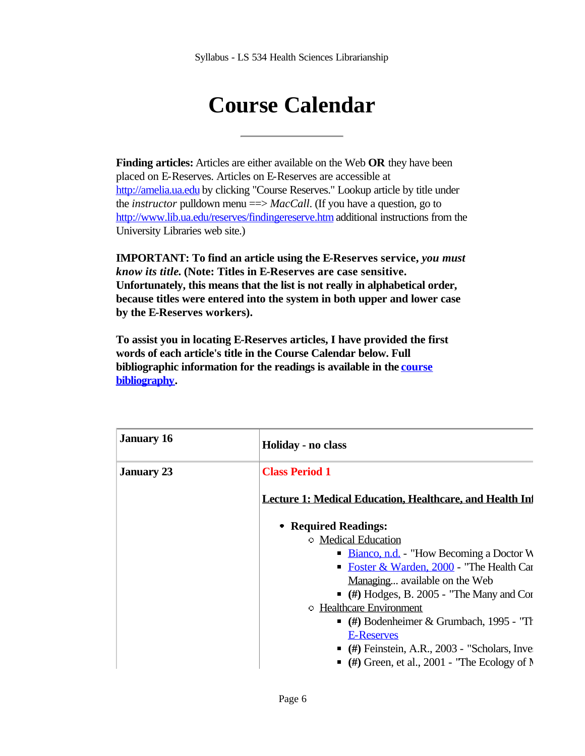# **Course Calendar**

**Finding articles:** Articles are either available on the Web **OR** they have been placed on E-Reserves. Articles on E-Reserves are accessible at http://amelia.ua.edu by clicking "Course Reserves." Lookup article by title under the *instructor* pulldown menu =  $>MacCall$ . (If you have a question, go to http://www.lib.ua.edu/reserves/findingereserve.htm additional instructions from the University Libraries web site.)

**IMPORTANT: To find an article using the E-Reserves service,** *you must know its title***. (Note: Titles in E-Reserves are case sensitive. Unfortunately, this means that the list is not really in alphabetical order, because titles were entered into the system in both upper and lower case by the E-Reserves workers).** 

**To assist you in locating E-Reserves articles, I have provided the first words of each article's title in the Course Calendar below. Full bibliographic information for the readings is available in the course bibliography.**

| <b>January 16</b> | Holiday - no class                                              |
|-------------------|-----------------------------------------------------------------|
| <b>January 23</b> | <b>Class Period 1</b>                                           |
|                   | <b>Lecture 1: Medical Education, Healthcare, and Health In-</b> |
|                   | • Required Readings:                                            |
|                   | <b>Medical Education</b>                                        |
|                   | <b>Bianco, n.d.</b> - "How Becoming a Doctor W                  |
|                   | • Foster & Warden, 2000 - "The Health Car                       |
|                   | Managing available on the Web                                   |
|                   | $\bullet$ (#) Hodges, B. 2005 - "The Many and Cor               |
|                   | <b>• Healthcare Environment</b>                                 |
|                   | $\bullet$ (#) Bodenheimer & Grumbach, 1995 - "The               |
|                   | E-Reserves                                                      |
|                   | $($ #) Feinstein, A.R., 2003 - "Scholars, Inve                  |
|                   | $\bullet$ (#) Green, et al., 2001 - 'The Ecology of N           |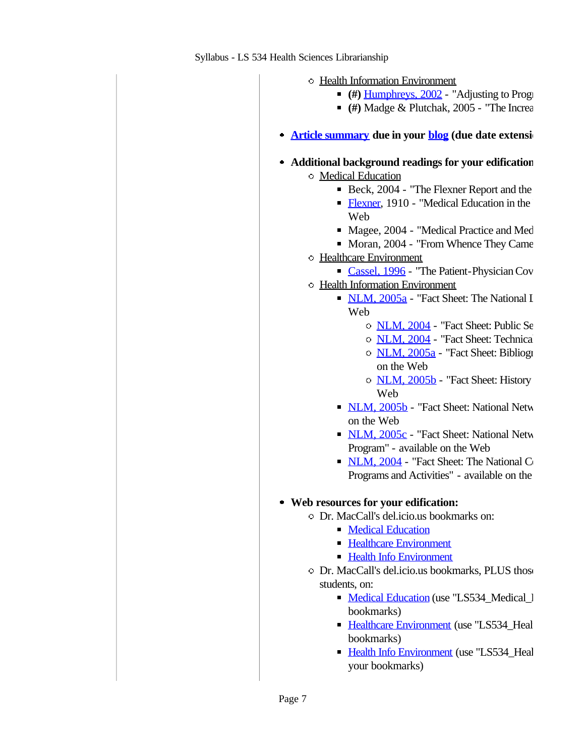- Health Information Environment
	- **(#)** Humphreys, 2002 "Adjusting to Progress"
	- $(4)$  Madge & Plutchak, 2005 "The Increa
- **Article summary** due in your **blog** (due date extension:
- **Additional background readings for your edification:** Medical Education
	- Beck,  $2004$  "The Flexner Report and the
	- Flexner, 1910 "Medical Education in the
	- Web Magee, 2004 - "Medical Practice and Med
	- Moran, 2004 "From Whence They Came"
	- Healthcare Environment
		- Cassel, 1996 "The Patient-Physician Cov
	- Health Information Environment
		- NLM, 2005a "Fact Sheet: The National I Web
			- O NLM, 2004 "Fact Sheet: Public Se
			- O NLM, 2004 "Fact Sheet: Technical
			- o NLM, 2005a "Fact Sheet: Bibliographic on the Web
			- NLM, 2005b "Fact Sheet: History Web
		- NLM, 2005b "Fact Sheet: National Network on the Web
		- $NLM$ ,  $2005c$  "Fact Sheet: National Network Program" - available on the Web
		- NLM, 2004 "Fact Sheet: The National C Programs and Activities" - available on the

## **Web resources for your edification:**

- Dr. MacCall's del.icio.us bookmarks on:
	- **Medical Education**
	- **Healthcare Environment**
	- **Health Info Environment**
- $\circ$  Dr. MacCall's del.icio.us bookmarks, PLUS those students, on:
	- Medical Education (use "LS534\_Medical\_l bookmarks)
	- Healthcare Environment (use "LS534\_Healthcare Environment (use "LS534\_Heal bookmarks)
	- Health Info Environment (use "LS534 Health your bookmarks)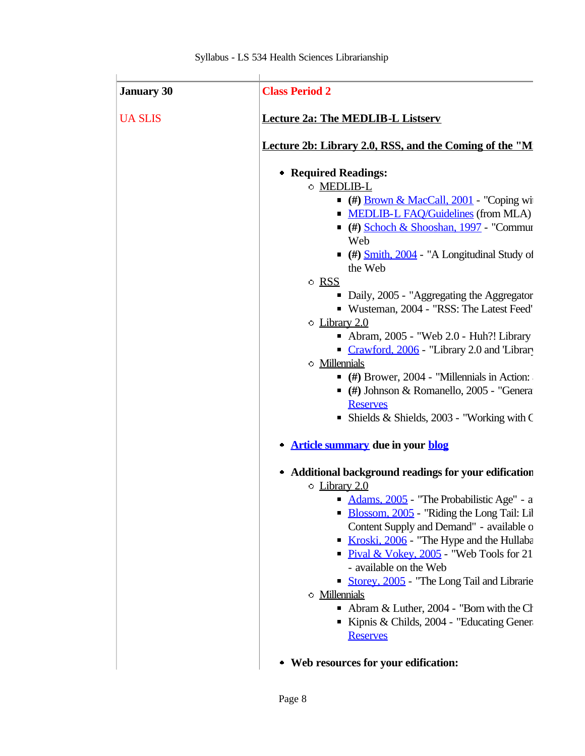| <b>UA SLIS</b> | <b>Lecture 2a: The MEDLIB-L Listserv</b>                                         |
|----------------|----------------------------------------------------------------------------------|
|                |                                                                                  |
|                | Lecture 2b: Library 2.0, RSS, and the Coming of the "M                           |
|                | • Required Readings:                                                             |
|                | O MEDLIB-L                                                                       |
|                | $($ #) Brown & MacCall, 2001 - "Coping wi                                        |
|                | • MEDLIB-L FAQ/Guidelines (from MLA)                                             |
|                | $($ #) Schoch & Shooshan, 1997 - "Commun                                         |
|                | Web                                                                              |
|                | $($ #) $\frac{\text{Smith, 2004}}{\text{With, 2004}}$ - "A Longitudinal Study of |
|                | the Web                                                                          |
|                | $\circ$ RSS                                                                      |
|                | • Daily, 2005 - "Aggregating the Aggregator"                                     |
|                | Wusteman, 2004 - "RSS: The Latest Feed"                                          |
|                | $\circ$ Library 2.0                                                              |
|                | Abram, $2005$ - "Web $2.0$ - Huh?! Library                                       |
|                | Crawford, 2006 - "Library 2.0 and 'Library                                       |
|                | <b>Millennials</b>                                                               |
|                | $($ #) Brower, 2004 - "Millennials in Action:                                    |
|                | $($ #) Johnson & Romanello, 2005 - "Genera"                                      |
|                | <b>Reserves</b>                                                                  |
|                | • Shields & Shields, 2003 - "Working with $\mathsf C$                            |
|                | <b>Article summary due in your blog</b>                                          |
|                | Additional background readings for your edification<br>۰                         |
|                | • Library 2.0                                                                    |
|                | Adams, 2005 - "The Probabilistic Age" - a                                        |
|                | Blossom, 2005 - "Riding the Long Tail: Lil                                       |
|                | Content Supply and Demand" - available o                                         |
|                | Kroski, 2006 - "The Hype and the Hullaba<br>ш                                    |
|                | • Pival & Vokey, 2005 - "Web Tools for 21                                        |
|                | - available on the Web                                                           |
|                | Storey, 2005 - "The Long Tail and Librarie"                                      |
|                | <b>Millennials</b>                                                               |
|                | • Abram & Luther, 2004 - "Born with the Ch                                       |
|                | Kipnis & Childs, 2004 - "Educating Gener"                                        |
|                | <b>Reserves</b>                                                                  |
|                | • Web resources for your edification:                                            |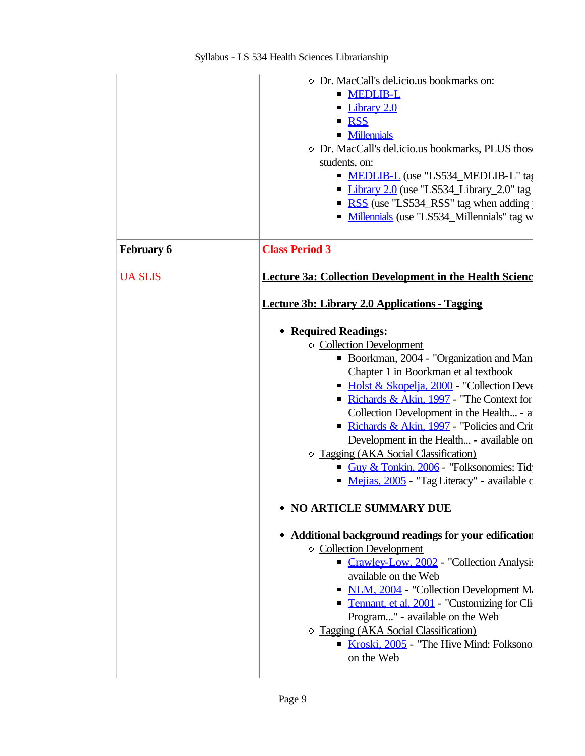|                   | • Dr. MacCall's del.icio.us bookmarks on:<br><b>MEDLIB-L</b><br>Library 2.0<br><b>RSS</b><br><b>Millennials</b><br>O Dr. MacCall's del.icio.us bookmarks, PLUS those<br>students, on:<br><b>MEDLIB-L</b> (use "LS534_MEDLIB-L" tag<br>• Library 2.0 (use "LS534_Library_2.0" tag<br>• RSS (use "LS534_RSS" tag when adding<br>• Millennials (use "LS534_Millennials" tag w                                                                                                                                                                 |
|-------------------|--------------------------------------------------------------------------------------------------------------------------------------------------------------------------------------------------------------------------------------------------------------------------------------------------------------------------------------------------------------------------------------------------------------------------------------------------------------------------------------------------------------------------------------------|
| <b>February 6</b> | <b>Class Period 3</b>                                                                                                                                                                                                                                                                                                                                                                                                                                                                                                                      |
| <b>UA SLIS</b>    | <b>Lecture 3a: Collection Development in the Health Scienc</b>                                                                                                                                                                                                                                                                                                                                                                                                                                                                             |
|                   | Lecture 3b: Library 2.0 Applications - Tagging                                                                                                                                                                                                                                                                                                                                                                                                                                                                                             |
|                   | • Required Readings:<br><b>Collection Development</b><br>• Boorkman, 2004 - "Organization and Man<br>Chapter 1 in Boorkman et al textbook<br>• Holst & Skopelja, 2000 - "Collection Deve<br>Richards & Akin, 1997 - "The Context for<br>Collection Development in the Health - a<br>Richards & Akin, 1997 - "Policies and Crit<br>Development in the Health - available on<br>O Tagging (AKA Social Classification)<br>Guy & Tonkin, 2006 - "Folksonomies: Tid-<br>Mejias, 2005 - "Tag Literacy" - available c<br>• NO ARTICLE SUMMARY DUE |
|                   | • Additional background readings for your edification<br><b>Collection Development</b><br>Crawley-Low, 2002 - "Collection Analysis<br>available on the Web<br>• NLM, 2004 - "Collection Development M.<br>• Tennant, et al, 2001 - "Customizing for Cli<br>Program" - available on the Web<br><b>Tagging (AKA Social Classification)</b><br>Kroski, 2005 - "The Hive Mind: Folksono<br>on the Web                                                                                                                                          |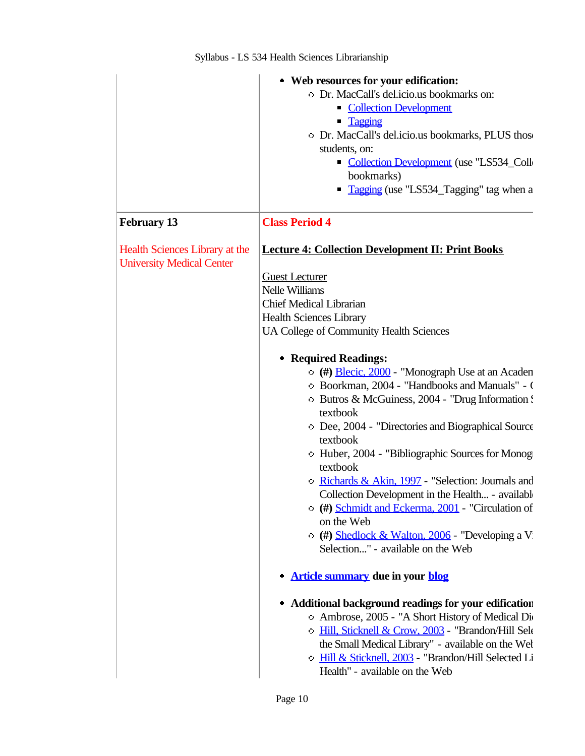|                                                                    | • Web resources for your edification:                                                                       |
|--------------------------------------------------------------------|-------------------------------------------------------------------------------------------------------------|
|                                                                    | • Dr. MacCall's del.icio.us bookmarks on:                                                                   |
|                                                                    | Collection Development                                                                                      |
|                                                                    | • Tagging                                                                                                   |
|                                                                    | O Dr. MacCall's del.icio.us bookmarks, PLUS those                                                           |
|                                                                    | students, on:                                                                                               |
|                                                                    | Collection Development (use "LS534_Colle                                                                    |
|                                                                    | bookmarks)                                                                                                  |
|                                                                    | • Tagging (use "LS534_Tagging" tag when a                                                                   |
| <b>February 13</b>                                                 | <b>Class Period 4</b>                                                                                       |
| Health Sciences Library at the<br><b>University Medical Center</b> | <b>Lecture 4: Collection Development II: Print Books</b>                                                    |
|                                                                    | <b>Guest Lecturer</b>                                                                                       |
|                                                                    | <b>Nelle Williams</b>                                                                                       |
|                                                                    | <b>Chief Medical Librarian</b>                                                                              |
|                                                                    | <b>Health Sciences Library</b>                                                                              |
|                                                                    | UA College of Community Health Sciences                                                                     |
|                                                                    | • Required Readings:                                                                                        |
|                                                                    | (#) Blecic, 2000 - "Monograph Use at an Acaden                                                              |
|                                                                    | • Boorkman, 2004 - "Handbooks and Manuals" - 0                                                              |
|                                                                    | • Butros & McGuiness, 2004 - "Drug Information!                                                             |
|                                                                    | textbook                                                                                                    |
|                                                                    | • Dee, 2004 - "Directories and Biographical Source"                                                         |
|                                                                    | textbook                                                                                                    |
|                                                                    | • Huber, 2004 - "Bibliographic Sources for Monog                                                            |
|                                                                    | textbook                                                                                                    |
|                                                                    | <b>Example 2</b> Richards & Akin, 1997 - "Selection: Journals and                                           |
|                                                                    | Collection Development in the Health - available<br>$\circ$ (#) Schmidt and Eckerma, 2001 - "Circulation of |
|                                                                    | on the Web                                                                                                  |
|                                                                    | $\circ$ (#) Shedlock & Walton, 2006 - "Developing a V                                                       |
|                                                                    | Selection" - available on the Web                                                                           |
|                                                                    |                                                                                                             |
|                                                                    | Article summary due in your blog                                                                            |
|                                                                    | • Additional background readings for your edification                                                       |
|                                                                    | O Ambrose, 2005 - "A Short History of Medical Div                                                           |
|                                                                    | O Hill, Sticknell & Crow, 2003 - "Brandon/Hill Sele                                                         |
|                                                                    | the Small Medical Library" - available on the Wel                                                           |
|                                                                    | O Hill & Sticknell, 2003 - "Brandon/Hill Selected Li                                                        |
|                                                                    | Health" - available on the Web                                                                              |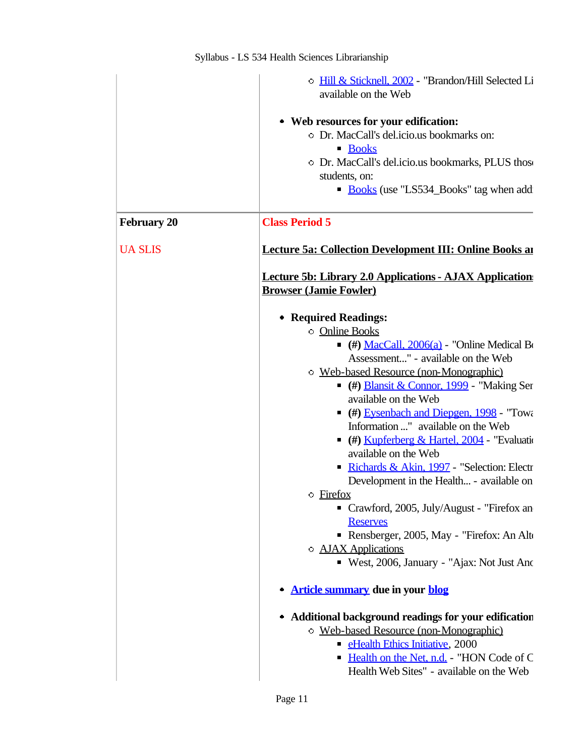|                    | O Hill & Sticknell, 2002 - "Brandon/Hill Selected Li<br>available on the Web                    |
|--------------------|-------------------------------------------------------------------------------------------------|
|                    | • Web resources for your edification:                                                           |
|                    | O Dr. MacCall's del.icio.us bookmarks on:                                                       |
|                    | <b>Books</b><br>• Dr. MacCall's del.icio.us bookmarks, PLUS those                               |
|                    | students, on:                                                                                   |
|                    | Books (use "LS534_Books" tag when add                                                           |
| <b>February 20</b> | <b>Class Period 5</b>                                                                           |
| <b>UA SLIS</b>     | <b>Lecture 5a: Collection Development III: Online Books and</b>                                 |
|                    | <b>Lecture 5b: Library 2.0 Applications - AJAX Application</b><br><b>Browser (Jamie Fowler)</b> |
|                    | • Required Readings:                                                                            |
|                    | <b>Online Books</b>                                                                             |
|                    | $($ #) MacCall, 2006(a) - "Online Medical B                                                     |
|                    | Assessment" - available on the Web                                                              |
|                    | O Web-based Resource (non-Monographic)                                                          |
|                    | • (#) Blansit & Connor, 1999 - "Making Ser<br>available on the Web                              |
|                    | (#) Eysenbach and Diepgen, 1998 - "Toward"<br>П                                                 |
|                    | Information " available on the Web                                                              |
|                    | (#) Kupferberg & Hartel, 2004 - "Evaluation                                                     |
|                    | available on the Web                                                                            |
|                    | Richards & Akin, 1997 - "Selection: Electr                                                      |
|                    | Development in the Health - available on                                                        |
|                    | • Firefox                                                                                       |
|                    | Crawford, 2005, July/August - "Firefox an<br>п                                                  |
|                    | <b>Reserves</b>                                                                                 |
|                    | Rensberger, 2005, May - "Firefox: An Alto<br>• <b>AJAX</b> Applications                         |
|                    | ■ West, 2006, January - "Ajax: Not Just And                                                     |
|                    |                                                                                                 |
|                    | <b>Article summary due in your blog</b>                                                         |
|                    | • Additional background readings for your edification                                           |
|                    | O Web-based Resource (non-Monographic)                                                          |
|                    | • eHealth Ethics Initiative, 2000                                                               |
|                    | Health on the Net, n.d. - "HON Code of C<br>Health Web Sites" - available on the Web            |
|                    |                                                                                                 |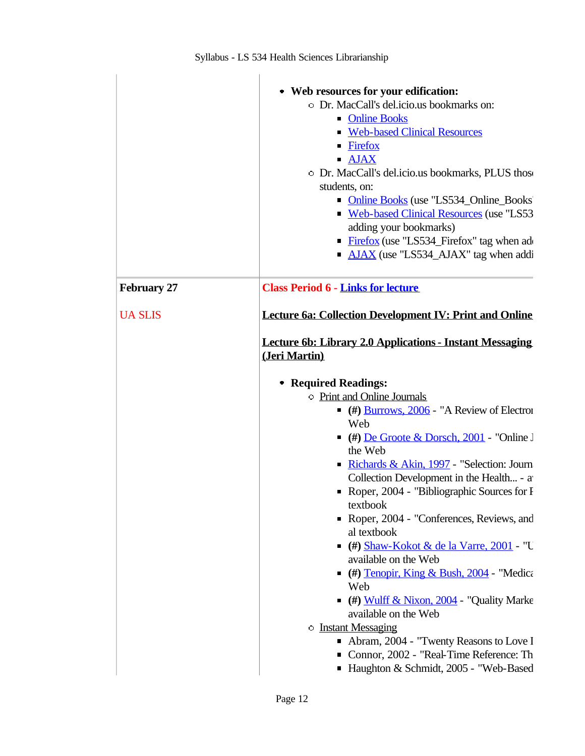|                    | • Web resources for your edification:<br>O Dr. MacCall's del.icio.us bookmarks on:<br>• Online Books<br><b>Web-based Clinical Resources</b><br>• Firefox<br>$\blacksquare$ AJAX<br>• Dr. MacCall's del.icio.us bookmarks, PLUS those<br>students, on: |
|--------------------|-------------------------------------------------------------------------------------------------------------------------------------------------------------------------------------------------------------------------------------------------------|
|                    | • Online Books (use "LS534_Online_Books"<br>Web-based Clinical Resources (use "LS53<br>adding your bookmarks)<br><b>Firefox</b> (use "LS534_Firefox" tag when add<br>• AJAX (use "LS534_AJAX" tag when addi                                           |
| <b>February 27</b> | <b>Class Period 6 - Links for lecture</b>                                                                                                                                                                                                             |
| <b>UA SLIS</b>     | <b>Lecture 6a: Collection Development IV: Print and Online</b>                                                                                                                                                                                        |
|                    | <b>Lecture 6b: Library 2.0 Applications - Instant Messaging</b><br>(Jeri Martin)                                                                                                                                                                      |
|                    | • Required Readings:                                                                                                                                                                                                                                  |
|                    | <b>Print and Online Journals</b>                                                                                                                                                                                                                      |
|                    | $($ $\#$ ) <u>Burrows, 2006</u> - "A Review of Electron<br>Web                                                                                                                                                                                        |
|                    | $($ #) <u>De Groote &amp; Dorsch, 2001</u> - "Online J<br>the Web                                                                                                                                                                                     |
|                    | Richards & Akin, 1997 - "Selection: Journ<br>Collection Development in the Health - a<br>Roper, 2004 - "Bibliographic Sources for I<br>textbook                                                                                                       |
|                    | Roper, 2004 - "Conferences, Reviews, and<br>al textbook                                                                                                                                                                                               |
|                    | $($ #) Shaw-Kokot & de la Varre, 2001 - "U<br>available on the Web                                                                                                                                                                                    |
|                    | $($ (#) Tenopir, King & Bush, 2004 - "Medica<br>Web                                                                                                                                                                                                   |
|                    | (#) Wulff & Nixon, 2004 - "Quality Marke<br>available on the Web                                                                                                                                                                                      |
|                    | <b>D</b> Instant Messaging                                                                                                                                                                                                                            |
|                    | Abram, 2004 - "Twenty Reasons to Love I                                                                                                                                                                                                               |
|                    | Connor, 2002 - "Real-Time Reference: Th<br>Haughton & Schmidt, 2005 - "Web-Based                                                                                                                                                                      |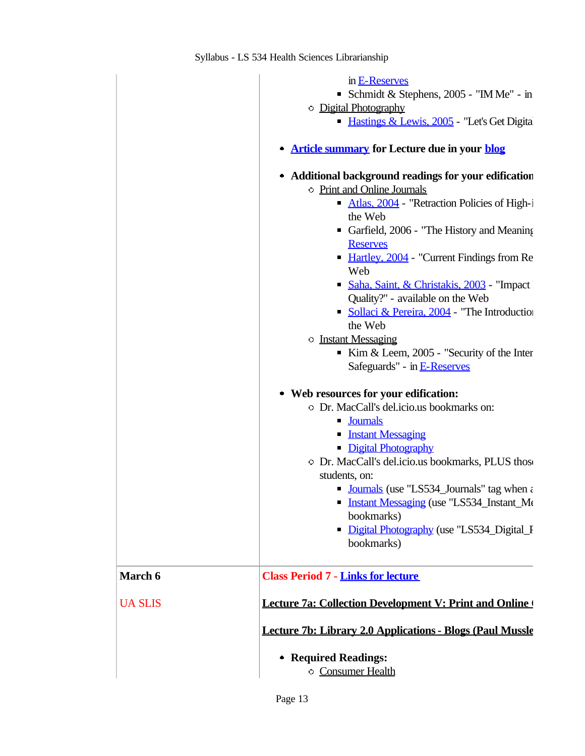|                | in E-Reserves<br>Schmidt & Stephens, 2005 - "IM Me" - in<br><b>Digital Photography</b><br>Hastings & Lewis, 2005 - "Let's Get Digita<br><b>Article summary for Lecture due in your blog</b><br>Additional background readings for your edification<br>$\bullet$                                                                                                                                                      |
|----------------|----------------------------------------------------------------------------------------------------------------------------------------------------------------------------------------------------------------------------------------------------------------------------------------------------------------------------------------------------------------------------------------------------------------------|
|                | • Print and Online Journals<br>Atlas, 2004 - "Retraction Policies of High-i<br>the Web<br>Garfield, 2006 - "The History and Meaning"<br><b>Reserves</b><br>• Hartley, 2004 - "Current Findings from Re<br>Web<br>Saha, Saint, & Christakis, 2003 - "Impact<br>Quality?" - available on the Web<br>• Sollaci & Pereira, 2004 - "The Introduction<br>the Web                                                           |
|                | <b>D</b> Instant Messaging<br>Kim & Leem, $2005$ - "Security of the Inter<br>Safeguards" - in E-Reserves                                                                                                                                                                                                                                                                                                             |
|                | • Web resources for your edification:<br>O Dr. MacCall's del.icio.us bookmarks on:<br><b>Journals</b><br><b>Instant Messaging</b><br>• Digital Photography<br>O Dr. MacCall's del.icio.us bookmarks, PLUS those<br>students, on:<br>• Journals (use "LS534_Journals" tag when $\varepsilon$<br>• Instant Messaging (use "LS534 Instant Me<br>bookmarks)<br>• Digital Photography (use "LS534_Digital_I<br>bookmarks) |
| March 6        | <b>Class Period 7 - Links for lecture</b>                                                                                                                                                                                                                                                                                                                                                                            |
| <b>UA SLIS</b> | <b>Lecture 7a: Collection Development V: Print and Online</b>                                                                                                                                                                                                                                                                                                                                                        |
|                | Lecture 7b: Library 2.0 Applications - Blogs (Paul Mussle                                                                                                                                                                                                                                                                                                                                                            |
|                | • Required Readings:<br><b>Consumer Health</b>                                                                                                                                                                                                                                                                                                                                                                       |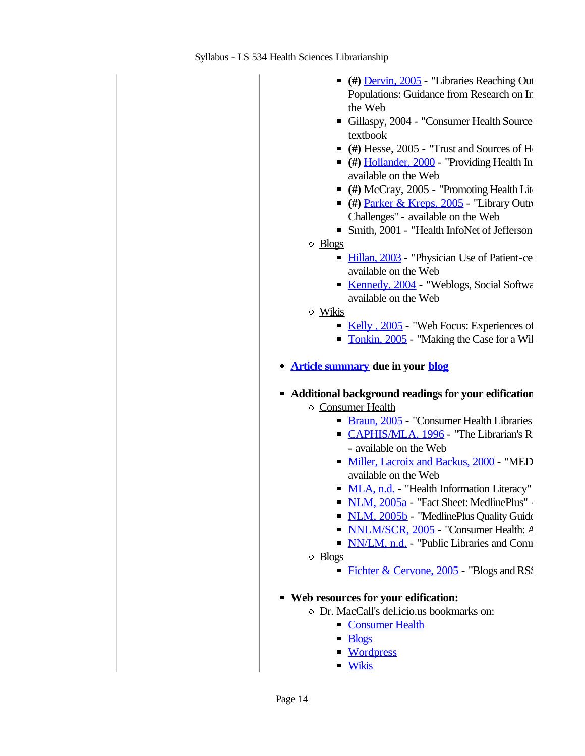- **(#)** Dervin, 2005 "Libraries Reaching Out Populations: Guidance from Research on In the Web
- Gillaspy, 2004 "Consumer Health Sources" textbook
- $($   $#$  Hesse, 2005 "Trust and Sources of He
- **(#)** Hollander, 2000 "Providing Health In available on the Web
- (#) McCray, 2005 "Promoting Health Lite
- **(#)** Parker & Kreps, 2005 "Library Outro Challenges" - available on the Web
- 
- $\blacksquare$  Smith, 2001 "Health InfoNet of Jefferson.
- Blogs
	- Hillan, 2003 "Physician Use of Patient-center available on the Web
	- Kennedy, 2004 "Weblogs, Social Software, and New International Software, and New International Software, and New International Software, and New International Software,  $\frac{1}{2}$ available on the Web
- Wikis
	- Kelly ,  $2005$  "Web Focus: Experiences of
	- Tonkin, 2005 "Making the Case for a Wil
- **Article summary** due in your **blog**
- **Additional background readings for your edification:** Consumer Health
	- Braun, 2005 "Consumer Health Libraries"
	- $\blacksquare$  CAPHIS/MLA, 1996 "The Librarian's Role in the Consumer Health..."
	- available on the Web
	- Miller, Lacroix and Backus, 2000 "MED available on the Web
	- MLA, n.d. "Health Information Literacy"
	- NLM, 2005a "Fact Sheet: MedlinePlus" -
	- NLM, 2005b "MedlinePlus Quality Guide
	- NNLM/SCR, 2005 "Consumer Health: A
	- $\blacksquare$  NN/LM, n.d.  $\blacksquare$  "Public Libraries and Comm
	- Blogs
		- Fichter & Cervone, 2005 "Blogs and RSS"
- **Web resources for your edification:**
	- Dr. MacCall's del.icio.us bookmarks on:
		- **Consumer Health**
		- **Blogs**
		- **Wordpress**
		- Wikis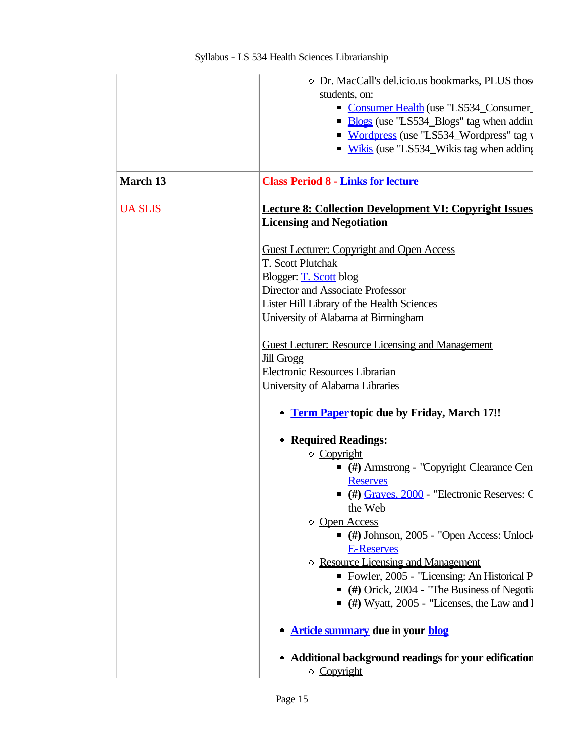|                | • Dr. MacCall's del.icio.us bookmarks, PLUS those<br>students, on:                |  |
|----------------|-----------------------------------------------------------------------------------|--|
|                | Consumer Health (use "LS534_Consumer<br>• Blogs (use "LS534_Blogs" tag when addin |  |
|                | • Wordpress (use "LS534_Wordpress" tag v                                          |  |
|                | • Wikis (use "LS534_Wikis tag when adding                                         |  |
| March 13       | <b>Class Period 8 - Links for lecture</b>                                         |  |
| <b>UA SLIS</b> | <b>Lecture 8: Collection Development VI: Copyright Issues</b>                     |  |
|                | <b>Licensing and Negotiation</b>                                                  |  |
|                | <b>Guest Lecturer: Copyright and Open Access</b>                                  |  |
|                | T. Scott Plutchak                                                                 |  |
|                | Blogger: T. Scott blog                                                            |  |
|                | Director and Associate Professor                                                  |  |
|                | Lister Hill Library of the Health Sciences                                        |  |
|                | University of Alabama at Birmingham                                               |  |
|                | <b>Guest Lecturer: Resource Licensing and Management</b>                          |  |
|                | <b>Jill Grogg</b>                                                                 |  |
|                | Electronic Resources Librarian                                                    |  |
|                | University of Alabama Libraries                                                   |  |
|                | <b>Term Paper</b> topic due by Friday, March 17!!                                 |  |
|                | • Required Readings:                                                              |  |
|                | <b>Copyright</b>                                                                  |  |
|                | $($ #) Armstrong - "Copyright Clearance Cen<br><b>Reserves</b>                    |  |
|                | $($ #) $Graves, 2000$ - "Electronic Reserves: C                                   |  |
|                | the Web                                                                           |  |
|                | Open Access<br>$($ #) Johnson, 2005 - "Open Access: Unlock                        |  |
|                | <b>E-Reserves</b>                                                                 |  |
|                | <b>Example 2</b> Resource Licensing and Management                                |  |
|                | • Fowler, 2005 - "Licensing: An Historical P                                      |  |
|                | $($ #) Orick, 2004 - "The Business of Negotia                                     |  |
|                | $($ #) Wyatt, 2005 - "Licenses, the Law and I                                     |  |
|                | <b>Article summary due in your blog</b>                                           |  |
|                | • Additional background readings for your edification                             |  |
|                | Copyright                                                                         |  |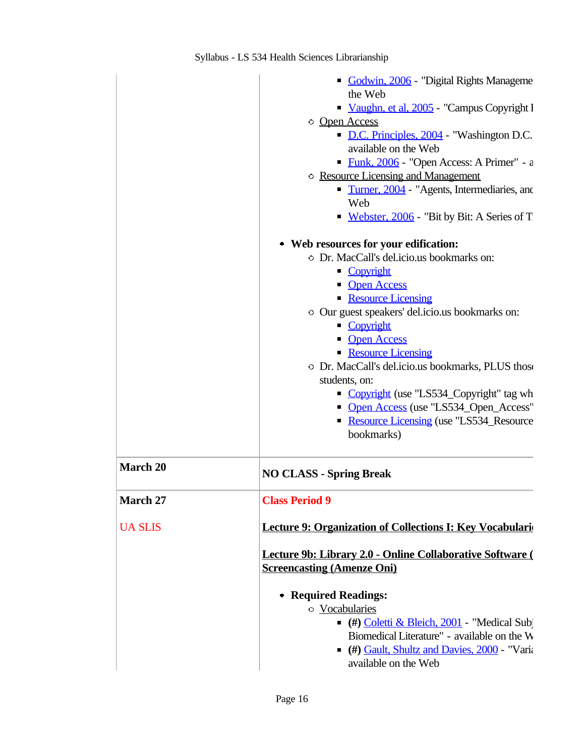|                 | Godwin, 2006 - "Digital Rights Manageme"                  |
|-----------------|-----------------------------------------------------------|
|                 | the Web                                                   |
|                 | Vaughn, et al, 2005 - "Campus Copyright I                 |
|                 | Open Access                                               |
|                 | D.C. Principles, 2004 - "Washington D.C.                  |
|                 | available on the Web                                      |
|                 | Eunk, 2006 - "Open Access: A Primer" - a                  |
|                 | <b>Example 2</b> Resource Licensing and Management        |
|                 | <b>Turner, 2004</b> - "Agents, Intermediaries, and        |
|                 | Web                                                       |
|                 | Webster, 2006 - "Bit by Bit: A Series of T                |
|                 | • Web resources for your edification:                     |
|                 | O Dr. MacCall's del.icio.us bookmarks on:                 |
|                 | • Copyright                                               |
|                 | • Open Access                                             |
|                 | Resource Licensing                                        |
|                 | Our guest speakers' del.icio.us bookmarks on:             |
|                 | • Copyright                                               |
|                 | • Open Access                                             |
|                 | Resource Licensing                                        |
|                 | O Dr. MacCall's del.icio.us bookmarks, PLUS those         |
|                 | students, on:                                             |
|                 | • Copyright (use "LS534_Copyright" tag wh                 |
|                 | • Open Access (use "LS534_Open_Access"                    |
|                 | Resource Licensing (use "LS534_Resource                   |
|                 | bookmarks)                                                |
| <b>March 20</b> | <b>NO CLASS - Spring Break</b>                            |
| March 27        | <b>Class Period 9</b>                                     |
|                 |                                                           |
| <b>UA SLIS</b>  | Lecture 9: Organization of Collections I: Key Vocabulari  |
|                 | Lecture 9b: Library 2.0 - Online Collaborative Software ( |
|                 | <b>Screencasting (Amenze Oni)</b>                         |
|                 |                                                           |
|                 | • Required Readings:                                      |
|                 | <b>Vocabularies</b>                                       |
|                 | (#) Coletti & Bleich, 2001 - "Medical Subj                |
|                 | Biomedical Literature" - available on the W               |
|                 | • (#) Gault, Shultz and Davies, 2000 - "Varia             |
|                 | available on the Web                                      |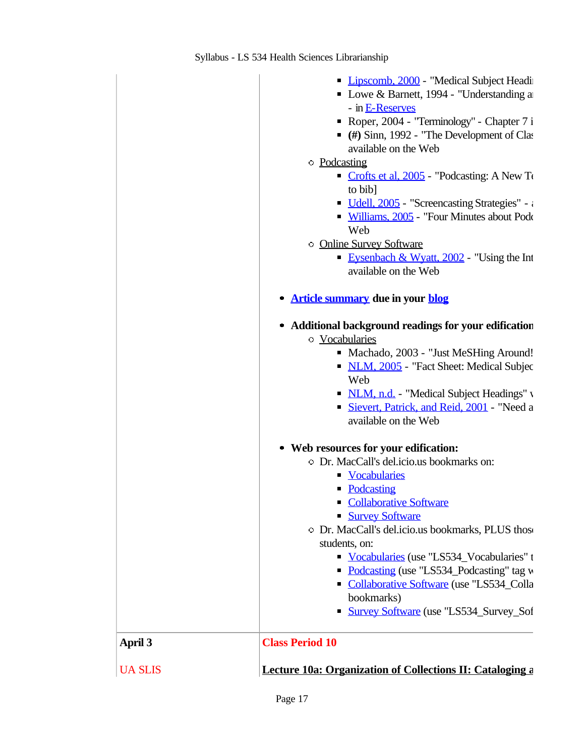| <b>UA SLIS</b> | <b>Lecture 10a: Organization of Collections II: Cataloging a</b>                     |
|----------------|--------------------------------------------------------------------------------------|
| April 3        | <b>Class Period 10</b>                                                               |
|                | <b>Survey Software</b> (use "LS534_Survey_Sof<br>П                                   |
|                | bookmarks)                                                                           |
|                | <b>Collaborative Software (use "LS534_Colla</b>                                      |
|                | Vocabularies (use "LS534_Vocabularies" t<br>Podcasting (use "LS534_Podcasting" tag w |
|                | students, on:                                                                        |
|                | O Dr. MacCall's del.icio.us bookmarks, PLUS those                                    |
|                | <b>Survey Software</b>                                                               |
|                | <b>Collaborative Software</b><br>П                                                   |
|                | • Podcasting                                                                         |
|                | • Vocabularies                                                                       |
|                | O Dr. MacCall's del.icio.us bookmarks on:                                            |
|                | • Web resources for your edification:                                                |
|                | available on the Web                                                                 |
|                | Sievert, Patrick, and Reid, 2001 - "Need a                                           |
|                | Web<br>• NLM, n.d. - "Medical Subject Headings" v                                    |
|                | • NLM, 2005 - "Fact Sheet: Medical Subjec                                            |
|                | Machado, 2003 - "Just MeSHing Around!"                                               |
|                | <b>Vocabularies</b>                                                                  |
|                | • Additional background readings for your edification                                |
|                | <b>Article summary due in your blog</b><br>$\qquad \qquad \blacksquare$              |
|                | available on the Web                                                                 |
|                | Eysenbach & Wyatt, $2002$ - "Using the Int                                           |
|                | <b>Online Survey Software</b>                                                        |
|                | - Williams, 2005 - "Four Minutes about Pode<br>Web                                   |
|                | Udell, 2005 - "Screencasting Strategies" - a                                         |
|                | to bib]                                                                              |
|                | Crofts et al, $2005$ - "Podcasting: A New To-                                        |
|                | • Podcasting                                                                         |
|                | available on the Web                                                                 |
|                | $($ #) Sinn, 1992 - "The Development of Class                                        |
|                | Roper, 2004 - "Terminology" - Chapter 7 i                                            |
|                | - in E-Reserves                                                                      |
|                | • Lowe & Barnett, 1994 - "Understanding a                                            |
|                | • Lipscomb, 2000 - "Medical Subject Headi                                            |
|                |                                                                                      |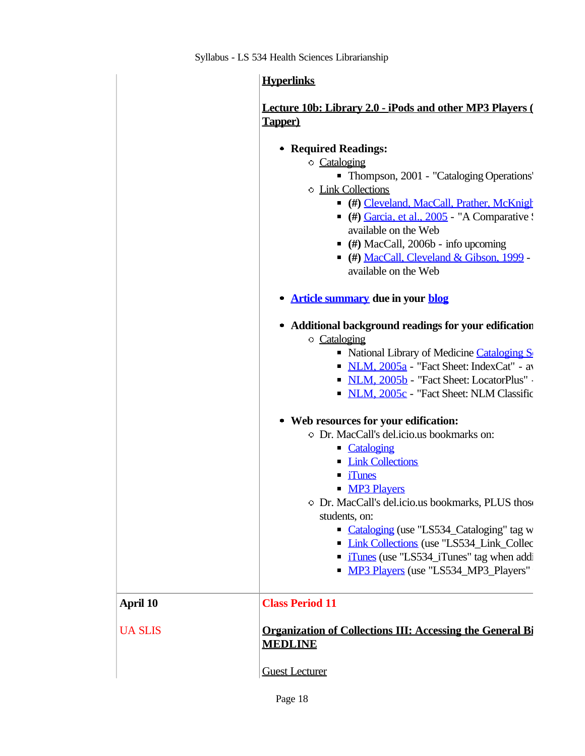|                 | <b>Hyperlinks</b>                                                                                                                                                                                                                                                                                                                                                                                                         |
|-----------------|---------------------------------------------------------------------------------------------------------------------------------------------------------------------------------------------------------------------------------------------------------------------------------------------------------------------------------------------------------------------------------------------------------------------------|
|                 | Lecture 10b: Library 2.0 - iPods and other MP3 Players (<br>Tapper)                                                                                                                                                                                                                                                                                                                                                       |
|                 | • Required Readings:<br>Cataloging<br>• Thompson, 2001 - "Cataloging Operations"<br><b>Link Collections</b><br>• (#) Cleveland, MacCall, Prather, McKnigh<br>$($ #) $\frac{Garcia, et al., 2005}{2}$ - "A Comparative :<br>available on the Web<br>$($ #) MacCall, 2006b - info upcoming<br>• (#) MacCall, Cleveland & Gibson, 1999 -<br>available on the Web                                                             |
|                 | <b>Article summary due in your blog</b>                                                                                                                                                                                                                                                                                                                                                                                   |
|                 | • Additional background readings for your edification<br>○ Cataloging<br>• National Library of Medicine Cataloging S<br>$\blacksquare$ NLM, $2005a$ - "Fact Sheet: IndexCat" - av<br>• NLM, 2005b - "Fact Sheet: LocatorPlus"<br>• NLM, 2005c - "Fact Sheet: NLM Classific                                                                                                                                                |
|                 | • Web resources for your edification:<br>O Dr. MacCall's del.icio.us bookmarks on:<br>• Cataloging<br><b>Link Collections</b><br><i>iTunes</i><br>• MP3 Players<br>O Dr. MacCall's del.icio.us bookmarks, PLUS those<br>students, on:<br>• Cataloging (use "LS534_Cataloging" tag w<br>• Link Collections (use "LS534_Link_Collec<br>• iTunes (use "LS534_iTunes" tag when addi<br>• MP3 Players (use "LS534_MP3_Players" |
| <b>April 10</b> | <b>Class Period 11</b>                                                                                                                                                                                                                                                                                                                                                                                                    |
| <b>UA SLIS</b>  | <b>Organization of Collections III: Accessing the General Bi</b><br><b>MEDLINE</b>                                                                                                                                                                                                                                                                                                                                        |
|                 | <b>Guest Lecturer</b>                                                                                                                                                                                                                                                                                                                                                                                                     |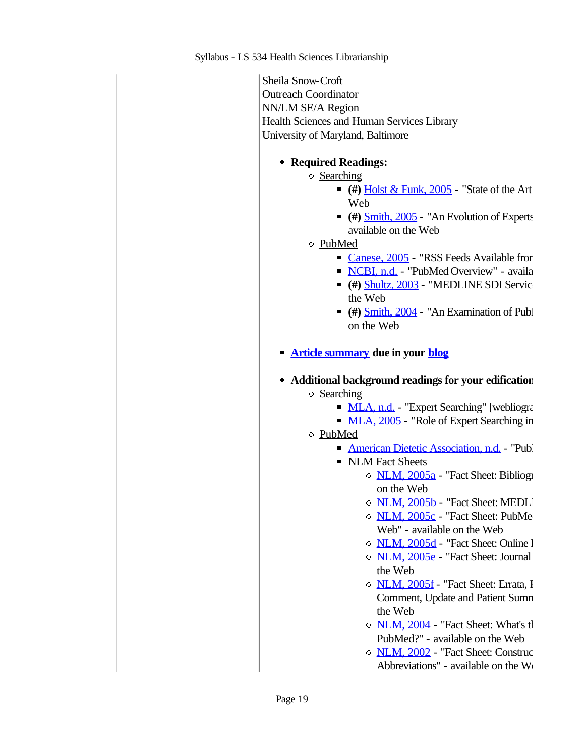Sheila Snow-Croft Outreach Coordinator NN/LM SE/A Region Health Sciences and Human Services Library University of Maryland, Baltimore

## **Required Readings:**

- Searching
	- $(4)$  Holst & Funk, 2005 "State of the Art Web
	- (#) Smith, 2005 "An Evolution of Experts available on the Web
- PubMed
	- $\blacksquare$  Canese, 2005 "RSS Feeds Available from
	- NCBI, n.d. "PubMed Overview" availa
	- (#) Shultz, 2003 "MEDLINE SDI Services the Web
	- $($   $#$  $)$   $Smith, 2004$  "An Examination of Publ</u> on the Web
- **Article summary due in your blog**
- **Additional background readings for your edification:** Searching
	- **MLA, n.d.** "Expert Searching" [webliography]
	- $MLA$ ,  $2005$  "Role of Expert Searching in
	- PubMed
		- American Dietetic Association, n.d. TPubl
		- NLM Fact Sheets
			- o NLM, 2005a "Fact Sheet: Bibliographic on the Web
			- O NLM, 2005b "Fact Sheet: MEDLI
			- $\circ$  NLM, 2005c "Fact Sheet: PubMe Web" - available on the Web
			- O NLM, 2005d "Fact Sheet: Online I
			- $\circ$  NLM, 2005e "Fact Sheet: Journal the Web
			- $\circ$  NLM, 2005f "Fact Sheet: Errata, I Comment, Update and Patient Sumn the Web
			- $\circ$  NLM, 2004 "Fact Sheet: What's the PubMed?" - available on the Web
			- $\circ$  NLM, 2002 "Fact Sheet: Construction Abbreviations" - available on the We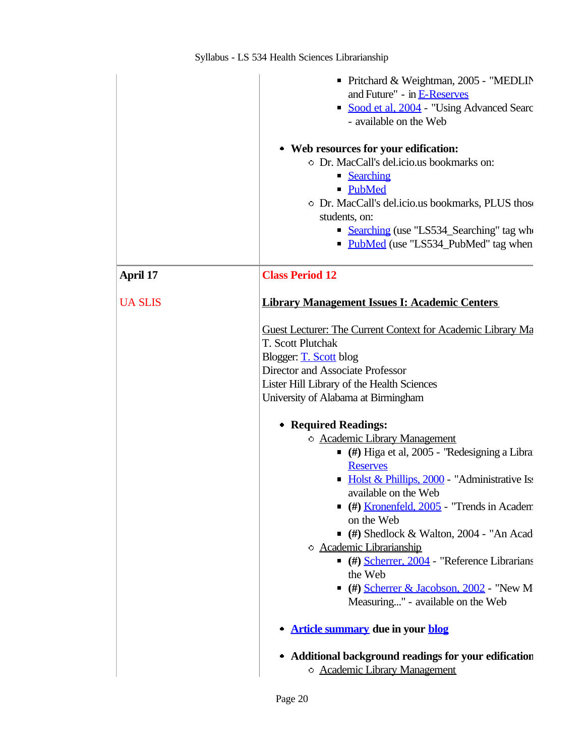|                | ■ Pritchard & Weightman, 2005 - "MEDLIN<br>and Future" - in E-Reserves<br>Sood et al, 2004 - "Using Advanced Searc<br>- available on the Web                                                                                                                                                                                                                                                                                                                                                                                                                                                                                                                                                                                                                                                                                                                            |
|----------------|-------------------------------------------------------------------------------------------------------------------------------------------------------------------------------------------------------------------------------------------------------------------------------------------------------------------------------------------------------------------------------------------------------------------------------------------------------------------------------------------------------------------------------------------------------------------------------------------------------------------------------------------------------------------------------------------------------------------------------------------------------------------------------------------------------------------------------------------------------------------------|
|                | • Web resources for your edification:<br>O Dr. MacCall's del.icio.us bookmarks on:<br>• Searching<br>• PubMed<br>• Dr. MacCall's del.icio.us bookmarks, PLUS those<br>students, on:<br>• Searching (use "LS534_Searching" tag who<br>• PubMed (use "LS534_PubMed" tag when                                                                                                                                                                                                                                                                                                                                                                                                                                                                                                                                                                                              |
| April 17       | <b>Class Period 12</b>                                                                                                                                                                                                                                                                                                                                                                                                                                                                                                                                                                                                                                                                                                                                                                                                                                                  |
| <b>UA SLIS</b> | <b>Library Management Issues I: Academic Centers</b>                                                                                                                                                                                                                                                                                                                                                                                                                                                                                                                                                                                                                                                                                                                                                                                                                    |
|                | Guest Lecturer: The Current Context for Academic Library Ma<br>T. Scott Plutchak<br>Blogger: T. Scott blog<br>Director and Associate Professor<br>Lister Hill Library of the Health Sciences<br>University of Alabama at Birmingham<br>• Required Readings:<br><b>C</b> Academic Library Management<br>$($ #) Higa et al, 2005 - "Redesigning a Libra<br><b>Reserves</b><br>• Holst & Phillips, 2000 - "Administrative Iss<br>available on the Web<br>(#) <u>Kronenfeld, 2005</u> - "Trends in Academ<br>$\blacksquare$<br>on the Web<br>$($ #) Shedlock & Walton, 2004 - "An Acad<br><b>C</b> Academic Librarianship<br>$($ #) Scherrer, 2004 - "Reference Librarians<br>the Web<br>$($ #) Scherrer & Jacobson, 2002 - "New M<br>Measuring" - available on the Web<br><b>Article summary due in your blog</b><br>• Additional background readings for your edification |
|                | <b>C</b> Academic Library Management                                                                                                                                                                                                                                                                                                                                                                                                                                                                                                                                                                                                                                                                                                                                                                                                                                    |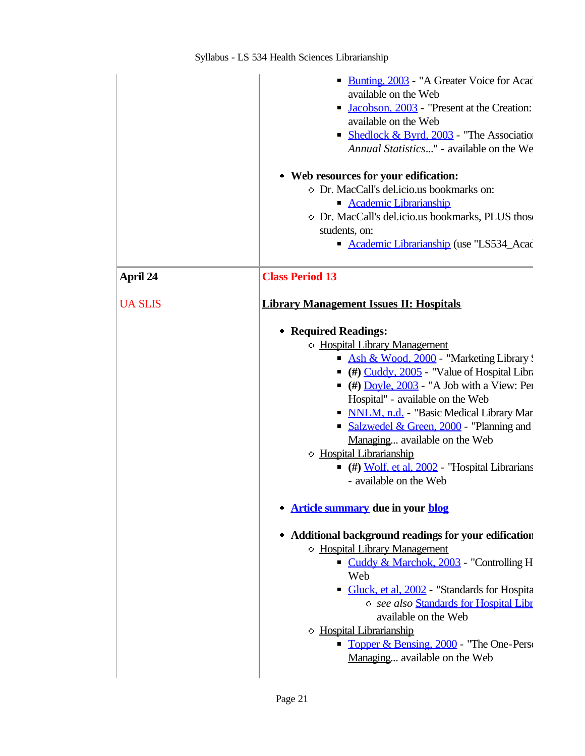|                | • Bunting, 2003 - "A Greater Voice for Acac<br>available on the Web<br>Jacobson, 2003 - "Present at the Creation:<br>п<br>available on the Web<br>Shedlock & Byrd, 2003 - "The Association<br>Annual Statistics" - available on the We<br>• Web resources for your edification:<br>O Dr. MacCall's del.icio.us bookmarks on:                                                                                                                                                                                                                  |
|----------------|-----------------------------------------------------------------------------------------------------------------------------------------------------------------------------------------------------------------------------------------------------------------------------------------------------------------------------------------------------------------------------------------------------------------------------------------------------------------------------------------------------------------------------------------------|
|                | Academic Librarianship<br>• Dr. MacCall's del.icio.us bookmarks, PLUS those<br>students, on:                                                                                                                                                                                                                                                                                                                                                                                                                                                  |
|                | <b>Academic Librarianship (use "LS534_Acac</b>                                                                                                                                                                                                                                                                                                                                                                                                                                                                                                |
| April 24       | <b>Class Period 13</b>                                                                                                                                                                                                                                                                                                                                                                                                                                                                                                                        |
| <b>UA SLIS</b> | <b>Library Management Issues II: Hospitals</b>                                                                                                                                                                                                                                                                                                                                                                                                                                                                                                |
|                | • Required Readings:<br><b>• Hospital Library Management</b><br>Ash & Wood, 2000 - "Marketing Library!"<br>$($ #) $Cuddy, 2005$ - "Value of Hospital Libra<br>$($ #) <u>Doyle, 2003</u> - "A Job with a View: Per<br>Hospital" - available on the Web<br>• NNLM, n.d. - "Basic Medical Library Mar<br>• Salzwedel & Green, 2000 - "Planning and<br>Managing available on the Web<br><b>Hospital Librarianship</b><br>$($ $\#$ ) Wolf, et al, 2002 - "Hospital Librarians<br>- available on the Web<br><b>Article summary due in your blog</b> |
|                | • Additional background readings for your edification<br>• Hospital Library Management<br>Cuddy & Marchok, 2003 - "Controlling H<br>Web<br>Gluck, et al. 2002 - "Standards for Hospita<br>$\blacksquare$<br>o see also Standards for Hospital Libr<br>available on the Web<br><b>Hospital Librarianship</b>                                                                                                                                                                                                                                   |
|                | • Topper & Bensing, 2000 - "The One-Person<br>Managing available on the Web                                                                                                                                                                                                                                                                                                                                                                                                                                                                   |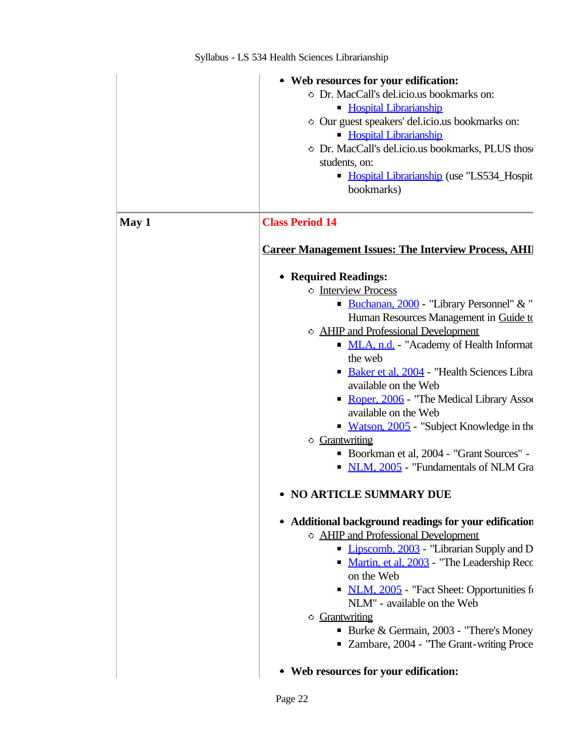|       | • Web resources for your edification:<br>O Dr. MacCall's del.icio.us bookmarks on:<br><b>Hospital Librarianship</b><br>Our guest speakers' del.icio.us bookmarks on:<br><b>Hospital Librarianship</b><br>O Dr. MacCall's del.icio.us bookmarks, PLUS those<br>students, on:<br>• Hospital Librarianship (use "LS534_Hospit<br>bookmarks)                                                                                                                                                                                                                                                                                                                                                                                                                                                                                                                     |  |
|-------|--------------------------------------------------------------------------------------------------------------------------------------------------------------------------------------------------------------------------------------------------------------------------------------------------------------------------------------------------------------------------------------------------------------------------------------------------------------------------------------------------------------------------------------------------------------------------------------------------------------------------------------------------------------------------------------------------------------------------------------------------------------------------------------------------------------------------------------------------------------|--|
| May 1 | <b>Class Period 14</b><br><b>Career Management Issues: The Interview Process, AHI</b><br>• Required Readings:<br><b>Interview Process</b><br>Buchanan, 2000 - "Library Personnel" & "<br>Human Resources Management in Guide to<br>O AHIP and Professional Development<br>• MLA, n.d. - "Academy of Health Informat<br>the web<br>Baker et al, 2004 - "Health Sciences Libra"<br>available on the Web<br>Roper, 2006 - "The Medical Library Assoc<br>available on the Web<br><b>Watson, 2005</b> - "Subject Knowledge in the<br>• Grantwriting<br>Boorkman et al, 2004 - "Grant Sources" -<br>• NLM, 2005 - "Fundamentals of NLM Gra<br>• NO ARTICLE SUMMARY DUE<br>• Additional background readings for your edification<br>O AHIP and Professional Development<br>• Lipscomb, 2003 - "Librarian Supply and D<br>Martin, et al, 2003 - "The Leadership Recc |  |
|       | on the Web<br>• NLM, 2005 - "Fact Sheet: Opportunities fo<br>NLM" - available on the Web<br><b>Grantwriting</b><br>• Burke & Germain, 2003 - "There's Money"<br>■ Zambare, 2004 - "The Grant-writing Proce"<br>• Web resources for your edification:                                                                                                                                                                                                                                                                                                                                                                                                                                                                                                                                                                                                         |  |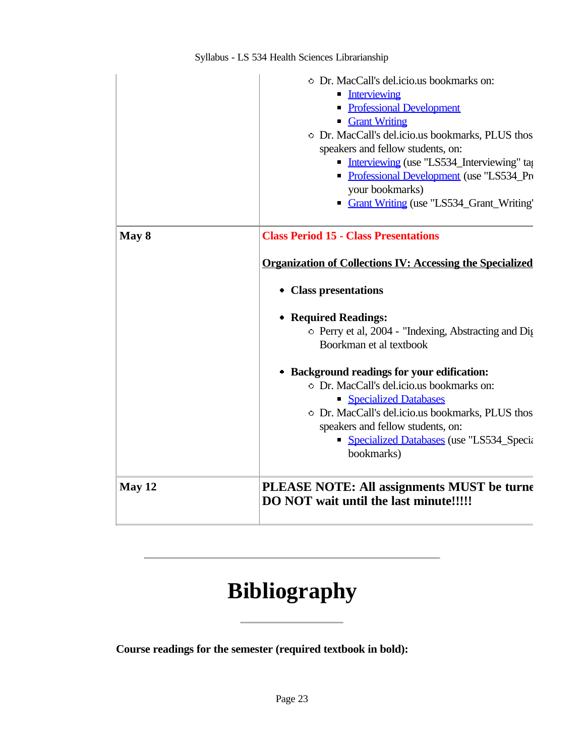|        | O Dr. MacCall's del.icio.us bookmarks on:<br><b>Interviewing</b><br>• Professional Development<br><b>Grant Writing</b><br>O Dr. MacCall's del.icio.us bookmarks, PLUS thos<br>speakers and fellow students, on:<br>Interviewing (use "LS534_Interviewing" tag<br>Professional Development (use "LS534_Pro<br>your bookmarks)<br>Grant Writing (use "LS534_Grant_Writing" |
|--------|--------------------------------------------------------------------------------------------------------------------------------------------------------------------------------------------------------------------------------------------------------------------------------------------------------------------------------------------------------------------------|
| May 8  | <b>Class Period 15 - Class Presentations</b>                                                                                                                                                                                                                                                                                                                             |
|        | <b>Organization of Collections IV: Accessing the Specialized</b>                                                                                                                                                                                                                                                                                                         |
|        | • Class presentations                                                                                                                                                                                                                                                                                                                                                    |
|        | • Required Readings:                                                                                                                                                                                                                                                                                                                                                     |
|        | • Perry et al, 2004 - "Indexing, Abstracting and Dig<br>Boorkman et al textbook                                                                                                                                                                                                                                                                                          |
|        | • Background readings for your edification:                                                                                                                                                                                                                                                                                                                              |
|        | O Dr. MacCall's del.icio.us bookmarks on:                                                                                                                                                                                                                                                                                                                                |
|        | Specialized Databases                                                                                                                                                                                                                                                                                                                                                    |
|        | O Dr. MacCall's del.icio.us bookmarks, PLUS thos                                                                                                                                                                                                                                                                                                                         |
|        | speakers and fellow students, on:                                                                                                                                                                                                                                                                                                                                        |
|        | • Specialized Databases (use "LS534_Specialized Databases (use "LS534_Specialized")                                                                                                                                                                                                                                                                                      |
|        | bookmarks)                                                                                                                                                                                                                                                                                                                                                               |
| May 12 | PLEASE NOTE: All assignments MUST be turned<br>DO NOT wait until the last minute!!!!!                                                                                                                                                                                                                                                                                    |

# **Bibliography**

**Course readings for the semester (required textbook in bold):**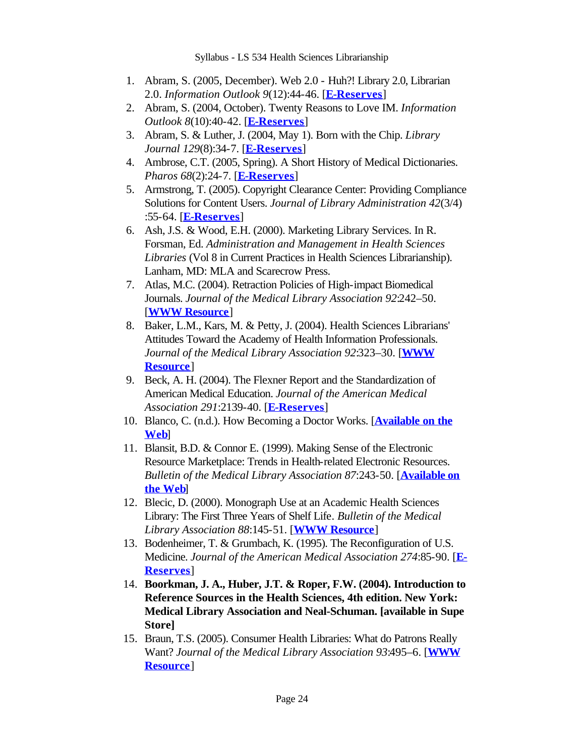- Abram, S. (2005, December). Web 2.0 Huh?! Library 2.0, Librarian 1. 2.0. *Information Outlook 9*(12):44-46. [**E-Reserves**]
- Abram, S. (2004, October). Twenty Reasons to Love IM. *Information*  2. *Outlook 8*(10):40-42. [**E-Reserves**]
- Abram, S. & Luther, J. (2004, May 1). Born with the Chip. *Library*  3. *Journal 129*(8):34-7. [**E-Reserves**]
- Ambrose, C.T. (2005, Spring). A Short History of Medical Dictionaries. 4. *Pharos 68*(2):24-7. [**E-Reserves**]
- Armstrong, T. (2005). Copyright Clearance Center: Providing Compliance 5. Solutions for Content Users. *Journal of Library Administration 42*(3/4) :55-64. [**E-Reserves**]
- Ash, J.S. & Wood, E.H. (2000). Marketing Library Services. In R. 6. Forsman, Ed. *Administration and Management in Health Sciences Libraries* (Vol 8 in Current Practices in Health Sciences Librarianship). Lanham, MD: MLA and Scarecrow Press.
- 7. Atlas, M.C. (2004). Retraction Policies of High-impact Biomedical Journals. *Journal of the Medical Library Association 92*:242–50. [**WWW Resource**]
- 8. Baker, L.M., Kars, M. & Petty, J. (2004). Health Sciences Librarians' Attitudes Toward the Academy of Health Information Professionals. *Journal of the Medical Library Association 92*:323–30. [**WWW Resource**]
- 9. Beck, A. H. (2004). The Flexner Report and the Standardization of American Medical Education. *Journal of the American Medical Association 291*:2139-40. [**E-Reserves**]
- 10. Blanco, C. (n.d.). How Becoming a Doctor Works. [**Available on the Web**]
- 11. Blansit, B.D. & Connor E. (1999). Making Sense of the Electronic Resource Marketplace: Trends in Health-related Electronic Resources. *Bulletin of the Medical Library Association 87*:243-50. [**Available on the Web**]
- 12. Blecic, D. (2000). Monograph Use at an Academic Health Sciences Library: The First Three Years of Shelf Life. *Bulletin of the Medical Library Association 88*:145-51. [**WWW Resource**]
- 13. Bodenheimer, T. & Grumbach, K. (1995). The Reconfiguration of U.S. Medicine. *Journal of the American Medical Association 274*:85-90. [**E-Reserves**]
- **Boorkman, J. A., Huber, J.T. & Roper, F.W. (2004). Introduction to**  14. **Reference Sources in the Health Sciences, 4th edition. New York: Medical Library Association and Neal-Schuman. [available in Supe Store]**
- 15. Braun, T.S. (2005). Consumer Health Libraries: What do Patrons Really Want? *Journal of the Medical Library Association 93*:495–6. [**WWW Resource**]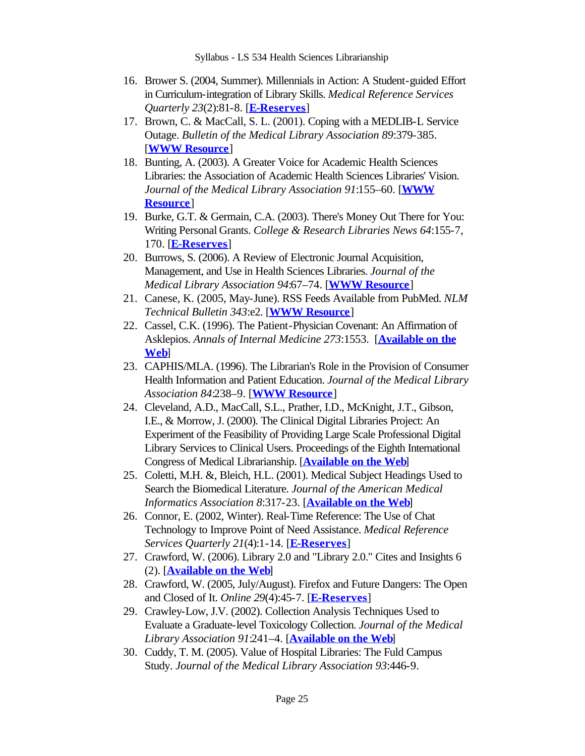- 16. Brower S. (2004, Summer). Millennials in Action: A Student-guided Effort in Curriculum-integration of Library Skills. *Medical Reference Services Quarterly 23*(2):81-8. [**E-Reserves**]
- 17. Brown, C. & MacCall, S. L. (2001). Coping with a MEDLIB-L Service Outage. *Bulletin of the Medical Library Association 89*:379-385. [**WWW Resource**]
- 18. Bunting, A. (2003). A Greater Voice for Academic Health Sciences Libraries: the Association of Academic Health Sciences Libraries' Vision. *Journal of the Medical Library Association 91*:155–60. [**WWW Resource**]
- 19. Burke, G.T. & Germain, C.A. (2003). There's Money Out There for You: Writing Personal Grants. *College & Research Libraries News 64*:155-7, 170. [**E-Reserves**]
- 20. Burrows, S. (2006). A Review of Electronic Journal Acquisition, Management, and Use in Health Sciences Libraries. *Journal of the Medical Library Association 94*:67–74. [**WWW Resource**]
- Canese, K. (2005, May-June). RSS Feeds Available from PubMed. *NLM*  21. *Technical Bulletin 343*:e2. [**WWW Resource**]
- 22. Cassel, C.K. (1996). The Patient-Physician Covenant: An Affirmation of Asklepios. *Annals of Internal Medicine 273*:1553. [**Available on the Web**]
- CAPHIS/MLA. (1996). The Librarian's Role in the Provision of Consumer 23. Health Information and Patient Education. *Journal of the Medical Library Association 84*:238–9. [**WWW Resource**]
- Cleveland, A.D., MacCall, S.L., Prather, I.D., McKnight, J.T., Gibson, 24. I.E., & Morrow, J. (2000). The Clinical Digital Libraries Project: An Experiment of the Feasibility of Providing Large Scale Professional Digital Library Services to Clinical Users. Proceedings of the Eighth International Congress of Medical Librarianship. [**Available on the Web**]
- 25. Coletti, M.H. &, Bleich, H.L. (2001). Medical Subject Headings Used to Search the Biomedical Literature. *Journal of the American Medical Informatics Association 8*:317-23. [**Available on the Web**]
- 26. Connor, E. (2002, Winter). Real-Time Reference: The Use of Chat Technology to Improve Point of Need Assistance. *Medical Reference Services Quarterly 21*(4):1-14. [**E-Reserves**]
- 27. Crawford, W. (2006). Library 2.0 and "Library 2.0." Cites and Insights 6 (2). [**Available on the Web**]
- 28. Crawford, W. (2005, July/August). Firefox and Future Dangers: The Open and Closed of It. *Online 29*(4):45-7. [**E-Reserves**]
- 29. Crawley-Low, J.V. (2002). Collection Analysis Techniques Used to Evaluate a Graduate-level Toxicology Collection. *Journal of the Medical Library Association 91*:241–4. [**Available on the Web**]
- 30. Cuddy, T. M. (2005). Value of Hospital Libraries: The Fuld Campus Study. *Journal of the Medical Library Association 93*:446-9.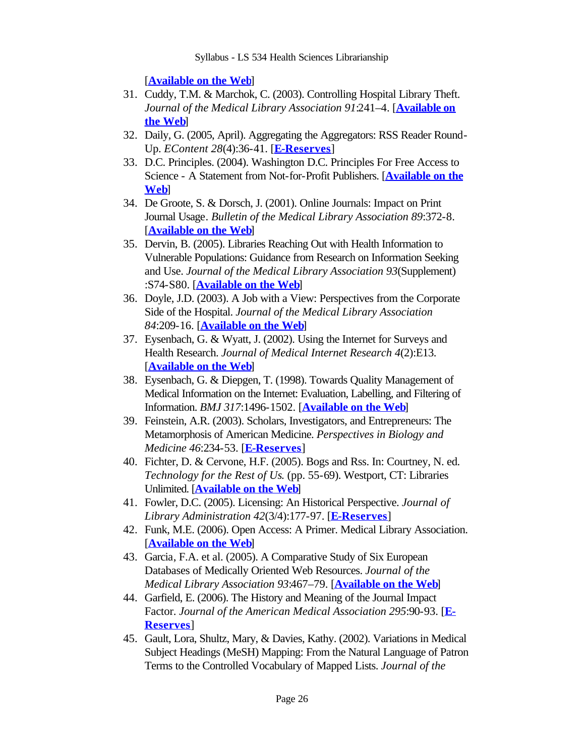[**Available on the Web**]

- 31. Cuddy, T.M. & Marchok, C. (2003). Controlling Hospital Library Theft. *Journal of the Medical Library Association 91*:241–4. [**Available on the Web**]
- Daily, G. (2005, April). Aggregating the Aggregators: RSS Reader Round-32. Up. *EContent 28*(4):36-41. [**E-Reserves**]
- D.C. Principles. (2004). Washington D.C. Principles For Free Access to 33. Science - A Statement from Not-for-Profit Publishers. [**Available on the Web**]
- De Groote, S. & Dorsch, J. (2001). Online Journals: Impact on Print 34. Journal Usage. *Bulletin of the Medical Library Association 89*:372-8. [**Available on the Web**]
- 35. Dervin, B. (2005). Libraries Reaching Out with Health Information to Vulnerable Populations: Guidance from Research on Information Seeking and Use. *Journal of the Medical Library Association 93*(Supplement) :S74-S80. [**Available on the Web**]
- Doyle, J.D. (2003). A Job with a View: Perspectives from the Corporate 36. Side of the Hospital. *Journal of the Medical Library Association 84*:209-16. [**Available on the Web**]
- 37. Eysenbach, G. & Wyatt, J. (2002). Using the Internet for Surveys and Health Research. *Journal of Medical Internet Research 4*(2):E13. [**Available on the Web**]
- Eysenbach, G. & Diepgen, T. (1998). Towards Quality Management of 38. Medical Information on the Internet: Evaluation, Labelling, and Filtering of Information. *BMJ 317*:1496-1502. [**Available on the Web**]
- Feinstein, A.R. (2003). Scholars, Investigators, and Entrepreneurs: The 39. Metamorphosis of American Medicine. *Perspectives in Biology and Medicine 46*:234-53. [**E-Reserves**]
- Fichter, D. & Cervone, H.F. (2005). Bogs and Rss. In: Courtney, N. ed. 40. *Technology for the Rest of Us*. (pp. 55-69). Westport, CT: Libraries Unlimited. [**Available on the Web**]
- Fowler, D.C. (2005). Licensing: An Historical Perspective. *Journal of*  41. *Library Administration 42*(3/4):177-97. [**E-Reserves**]
- Funk, M.E. (2006). Open Access: A Primer. Medical Library Association. 42. [**Available on the Web**]
- 43. Garcia, F.A. et al. (2005). A Comparative Study of Six European Databases of Medically Oriented Web Resources. *Journal of the Medical Library Association 93*:467–79. [**Available on the Web**]
- Garfield, E. (2006). The History and Meaning of the Journal Impact 44. Factor. *Journal of the American Medical Association 295*:90-93. [**E-Reserves**]
- 45. Gault, Lora, Shultz, Mary, & Davies, Kathy. (2002). Variations in Medical Subject Headings (MeSH) Mapping: From the Natural Language of Patron Terms to the Controlled Vocabulary of Mapped Lists. *Journal of the*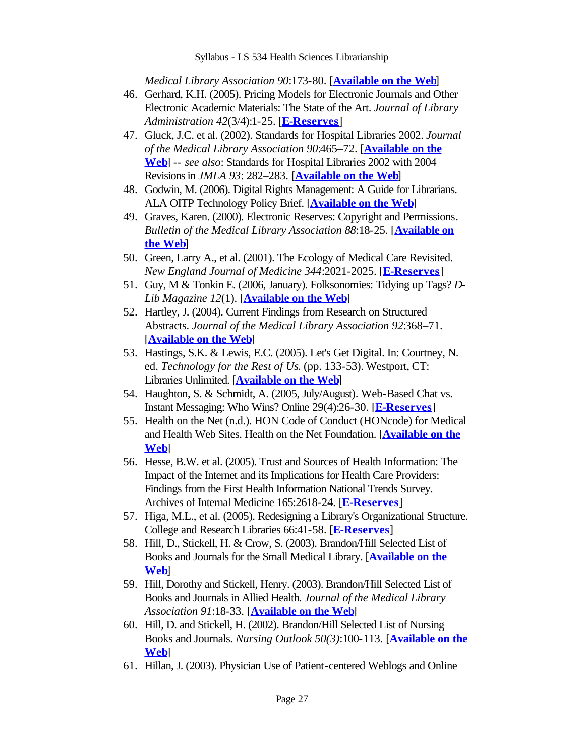*Medical Library Association 90*:173-80. [**Available on the Web**]

- 46. Gerhard, K.H. (2005). Pricing Models for Electronic Journals and Other Electronic Academic Materials: The State of the Art. *Journal of Library Administration 42*(3/4):1-25. [**E-Reserves**]
- Gluck, J.C. et al. (2002). Standards for Hospital Libraries 2002. *Journal*  47. *of the Medical Library Association 90*:465–72. [**Available on the Web**] -- *see also*: Standards for Hospital Libraries 2002 with 2004 Revisions in *JMLA 93*: 282–283. [**Available on the Web**]
- 48. Godwin, M. (2006). Digital Rights Management: A Guide for Librarians. ALA OITP Technology Policy Brief. [**Available on the Web**]
- 49. Graves, Karen. (2000). Electronic Reserves: Copyright and Permissions. *Bulletin of the Medical Library Association 88*:18-25. [**Available on the Web**]
- 50. Green, Larry A., et al. (2001). The Ecology of Medical Care Revisited. *New England Journal of Medicine 344*:2021-2025. [**E-Reserves**]
- 51. Guy, M & Tonkin E. (2006, January). Folksonomies: Tidying up Tags? *D*-*Lib Magazine 12*(1). [**Available on the Web**]
- 52. Hartley, J. (2004). Current Findings from Research on Structured Abstracts. *Journal of the Medical Library Association 92*:368–71. [**Available on the Web**]
- Hastings, S.K. & Lewis, E.C. (2005). Let's Get Digital. In: Courtney, N. 53. ed. *Technology for the Rest of Us*. (pp. 133-53). Westport, CT: Libraries Unlimited. [**Available on the Web**]
- 54. Haughton, S. & Schmidt, A. (2005, July/August). Web-Based Chat vs. Instant Messaging: Who Wins? Online 29(4):26-30. [**E-Reserves**]
- 55. Health on the Net (n.d.). HON Code of Conduct (HONcode) for Medical and Health Web Sites. Health on the Net Foundation. [**Available on the Web**]
- 56. Hesse, B.W. et al. (2005). Trust and Sources of Health Information: The Impact of the Internet and its Implications for Health Care Providers: Findings from the First Health Information National Trends Survey. Archives of Internal Medicine 165:2618-24. [**E-Reserves**]
- 57. Higa, M.L., et al. (2005). Redesigning a Library's Organizational Structure. College and Research Libraries 66:41-58. [**E-Reserves**]
- 58. Hill, D., Stickell, H. & Crow, S. (2003). Brandon/Hill Selected List of Books and Journals for the Small Medical Library. [**Available on the Web**]
- 59. Hill, Dorothy and Stickell, Henry. (2003). Brandon/Hill Selected List of Books and Journals in Allied Health. *Journal of the Medical Library Association 91*:18-33. [**Available on the Web**]
- 60. Hill, D. and Stickell, H. (2002). Brandon/Hill Selected List of Nursing Books and Journals. *Nursing Outlook 50(3)*:100-113. [**Available on the Web**]
- 61. Hillan, J. (2003). Physician Use of Patient-centered Weblogs and Online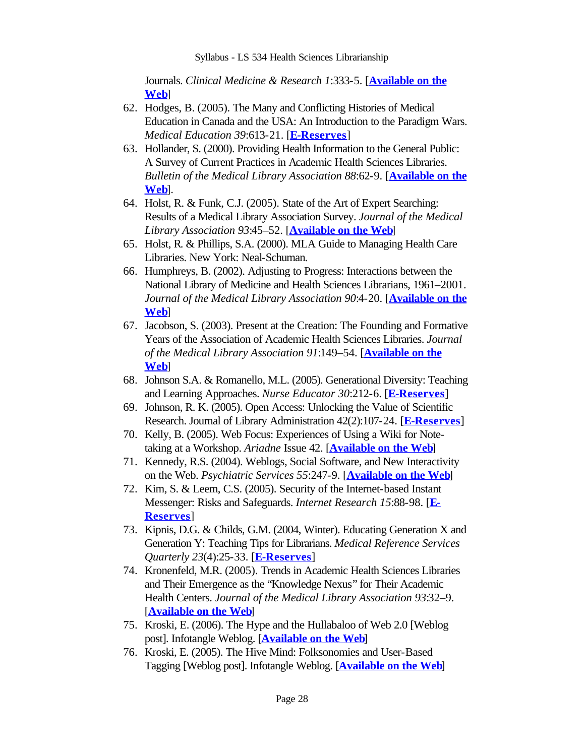Journals. *Clinical Medicine & Research 1*:333-5. [**Available on the Web**]

- 62. Hodges, B. (2005). The Many and Conflicting Histories of Medical Education in Canada and the USA: An Introduction to the Paradigm Wars. *Medical Education 39*:613-21. [**E-Reserves**]
- 63. Hollander, S. (2000). Providing Health Information to the General Public: A Survey of Current Practices in Academic Health Sciences Libraries. *Bulletin of the Medical Library Association 88*:62-9. [**Available on the Web**].
- 64. Holst, R. & Funk, C.J. (2005). State of the Art of Expert Searching: Results of a Medical Library Association Survey. *Journal of the Medical Library Association 93*:45–52. [**Available on the Web**]
- 65. Holst, R. & Phillips, S.A. (2000). MLA Guide to Managing Health Care Libraries. New York: Neal-Schuman.
- 66. Humphreys, B. (2002). Adjusting to Progress: Interactions between the National Library of Medicine and Health Sciences Librarians, 1961–2001. *Journal of the Medical Library Association 90*:4-20. [**Available on the Web**]
- 67. Jacobson, S. (2003). Present at the Creation: The Founding and Formative Years of the Association of Academic Health Sciences Libraries. *Journal of the Medical Library Association 91*:149–54. [**Available on the Web**]
- 68. Johnson S.A. & Romanello, M.L. (2005). Generational Diversity: Teaching and Learning Approaches. *Nurse Educator 30*:212-6. [**E-Reserves**]
- 69. Johnson, R. K. (2005). Open Access: Unlocking the Value of Scientific Research. Journal of Library Administration 42(2):107-24. [**E-Reserves**]
- 70. Kelly, B. (2005). Web Focus: Experiences of Using a Wiki for Notetaking at a Workshop. *Ariadne* Issue 42. [**Available on the Web**]
- 71. Kennedy, R.S. (2004). Weblogs, Social Software, and New Interactivity on the Web. *Psychiatric Services 55*:247-9. [**Available on the Web**]
- 72. Kim, S. & Leem, C.S. (2005). Security of the Internet-based Instant Messenger: Risks and Safeguards. *Internet Research 15*:88-98. [**E-Reserves**]
- 73. Kipnis, D.G. & Childs, G.M. (2004, Winter). Educating Generation X and Generation Y: Teaching Tips for Librarians. *Medical Reference Services Quarterly 23*(4):25-33. [**E-Reserves**]
- 74. Kronenfeld, M.R. (2005). Trends in Academic Health Sciences Libraries and Their Emergence as the "Knowledge Nexus" for Their Academic Health Centers. *Journal of the Medical Library Association 93*:32–9. [**Available on the Web**]
- 75. Kroski, E. (2006). The Hype and the Hullabaloo of Web 2.0 [Weblog post]. Infotangle Weblog. [**Available on the Web**]
- 76. Kroski, E. (2005). The Hive Mind: Folksonomies and User-Based Tagging [Weblog post]. Infotangle Weblog. [**Available on the Web**]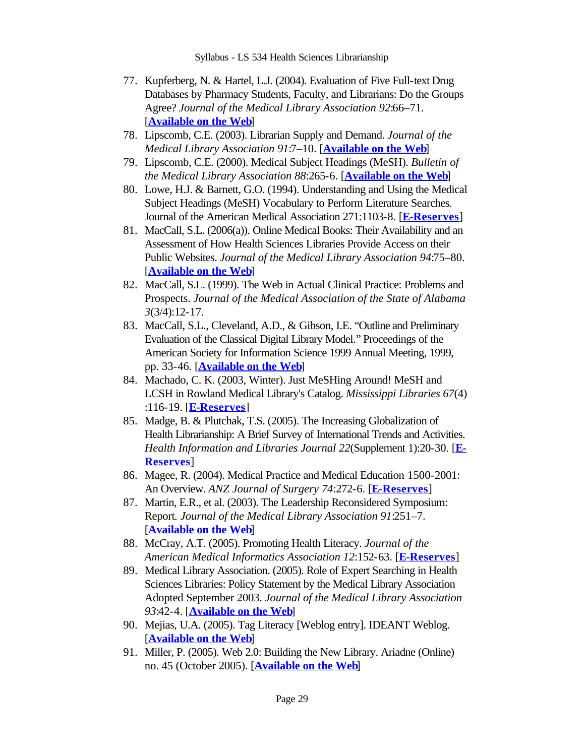- 77. Kupferberg, N. & Hartel, L.J. (2004). Evaluation of Five Full-text Drug Databases by Pharmacy Students, Faculty, and Librarians: Do the Groups Agree? *Journal of the Medical Library Association 92*:66–71. [**Available on the Web**]
- 78. Lipscomb, C.E. (2003). Librarian Supply and Demand. *Journal of the Medical Library Association 91*:7–10. [**Available on the Web**]
- 79. Lipscomb, C.E. (2000). Medical Subject Headings (MeSH). *Bulletin of the Medical Library Association 88*:265-6. [**Available on the Web**]
- Lowe, H.J. & Barnett, G.O. (1994). Understanding and Using the Medical 80. Subject Headings (MeSH) Vocabulary to Perform Literature Searches. Journal of the American Medical Association 271:1103-8. [**E-Reserves**]
- MacCall, S.L. (2006(a)). Online Medical Books: Their Availability and an 81. Assessment of How Health Sciences Libraries Provide Access on their Public Websites. *Journal of the Medical Library Association 94*:75–80. [**Available on the Web**]
- 82. MacCall, S.L. (1999). The Web in Actual Clinical Practice: Problems and Prospects. *Journal of the Medical Association of the State of Alabama 3*(3/4):12-17.
- MacCall, S.L., Cleveland, A.D., & Gibson, I.E. "Outline and Preliminary 83. Evaluation of the Classical Digital Library Model." Proceedings of the American Society for Information Science 1999 Annual Meeting, 1999, pp. 33-46. [**Available on the Web**]
- 84. Machado, C. K. (2003, Winter). Just MeSHing Around! MeSH and LCSH in Rowland Medical Library's Catalog. *Mississippi Libraries 67*(4) :116-19. [**E-Reserves**]
- 85. Madge, B. & Plutchak, T.S. (2005). The Increasing Globalization of Health Librarianship: A Brief Survey of International Trends and Activities. *Health Information and Libraries Journal 22*(Supplement 1):20-30. [**E-Reserves**]
- 86. Magee, R. (2004). Medical Practice and Medical Education 1500-2001: An Overview. *ANZ Journal of Surgery 74*:272-6. [**E-Reserves**]
- 87. Martin, E.R., et al. (2003). The Leadership Reconsidered Symposium: Report*. Journal of the Medical Library Association 91*:251–7. [**Available on the Web**]
- McCray, A.T. (2005). Promoting Health Literacy. *Journal of the*  88. *American Medical Informatics Association 12*:152-63. [**E-Reserves**]
- Medical Library Association. (2005). Role of Expert Searching in Health 89. Sciences Libraries: Policy Statement by the Medical Library Association Adopted September 2003. *Journal of the Medical Library Association 93*:42-4. [**Available on the Web**]
- 90. Mejias, U.A. (2005). Tag Literacy [Weblog entry]. IDEANT Weblog. [**Available on the Web**]
- Miller, P. (2005). Web 2.0: Building the New Library. Ariadne (Online) 91. no. 45 (October 2005). [**Available on the Web**]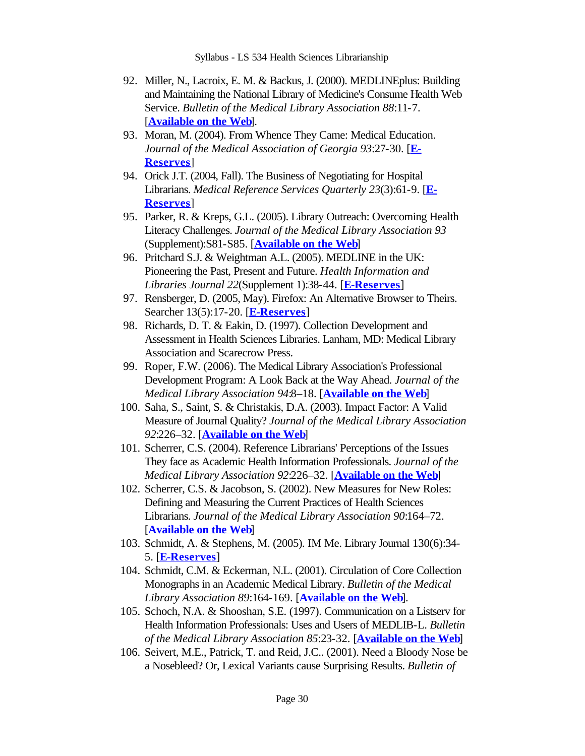- 92. Miller, N., Lacroix, E. M. & Backus, J. (2000). MEDLINEplus: Building and Maintaining the National Library of Medicine's Consume Health Web Service. *Bulletin of the Medical Library Association 88*:11-7. [**Available on the Web**].
- 93. Moran, M. (2004). From Whence They Came: Medical Education. *Journal of the Medical Association of Georgia 93*:27-30. [**E-Reserves**]
- 94. Orick J.T. (2004, Fall). The Business of Negotiating for Hospital Librarians. *Medical Reference Services Quarterly 23*(3):61-9. [**E-Reserves**]
- 95. Parker, R. & Kreps, G.L. (2005). Library Outreach: Overcoming Health Literacy Challenges. *Journal of the Medical Library Association 93* (Supplement):S81-S85. [**Available on the Web**]
- 96. Pritchard S.J. & Weightman A.L. (2005). MEDLINE in the UK: Pioneering the Past, Present and Future. *Health Information and Libraries Journal 22*(Supplement 1):38-44. [**E-Reserves**]
- 97. Rensberger, D. (2005, May). Firefox: An Alternative Browser to Theirs. Searcher 13(5):17-20. [**E-Reserves**]
- 98. Richards, D. T. & Eakin, D. (1997). Collection Development and Assessment in Health Sciences Libraries. Lanham, MD: Medical Library Association and Scarecrow Press.
- 99. Roper, F.W. (2006). The Medical Library Association's Professional Development Program: A Look Back at the Way Ahead. *Journal of the Medical Library Association 94*:8–18. [**Available on the Web**]
- 100. Saha, S., Saint, S. & Christakis, D.A. (2003). Impact Factor: A Valid Measure of Journal Quality? *Journal of the Medical Library Association 92*:226–32. [**Available on the Web**]
- 101. Scherrer, C.S. (2004). Reference Librarians' Perceptions of the Issues They face as Academic Health Information Professionals. *Journal of the Medical Library Association 92*:226–32. [**Available on the Web**]
- 102. Scherrer, C.S. & Jacobson, S. (2002). New Measures for New Roles: Defining and Measuring the Current Practices of Health Sciences Librarians. *Journal of the Medical Library Association 90*:164–72. [**Available on the Web**]
- 103. Schmidt, A. & Stephens, M. (2005). IM Me. Library Journal 130(6):34-5. [**E-Reserves**]
- 104. Schmidt, C.M. & Eckerman, N.L. (2001). Circulation of Core Collection Monographs in an Academic Medical Library. *Bulletin of the Medical Library Association 89*:164-169. [**Available on the Web**].
- 105. Schoch, N.A. & Shooshan, S.E. (1997). Communication on a Listserv for Health Information Professionals: Uses and Users of MEDLIB-L. *Bulletin of the Medical Library Association 85*:23-32. [**Available on the Web**]
- 106. Seivert, M.E., Patrick, T. and Reid, J.C.. (2001). Need a Bloody Nose be a Nosebleed? Or, Lexical Variants cause Surprising Results. *Bulletin of*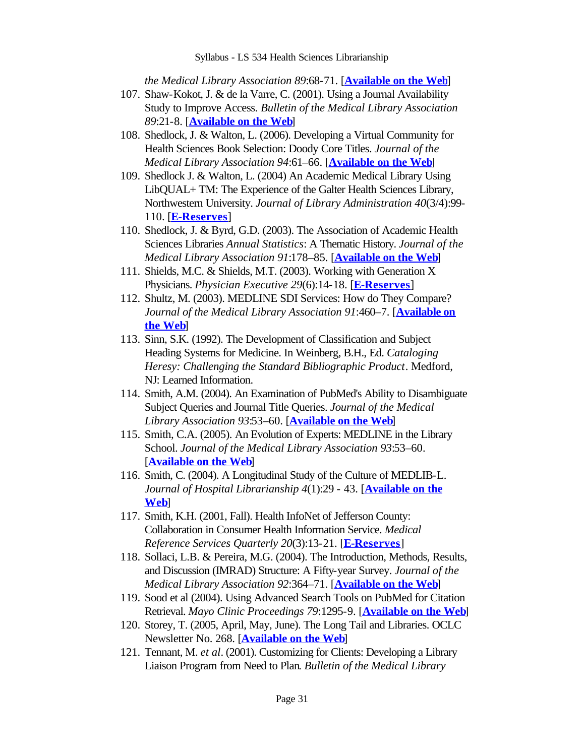*the Medical Library Association 89*:68-71. [**Available on the Web**]

- 107. Shaw-Kokot, J. & de la Varre, C. (2001). Using a Journal Availability Study to Improve Access. *Bulletin of the Medical Library Association 89*:21-8. [**Available on the Web**]
- 108. Shedlock, J. & Walton, L. (2006). Developing a Virtual Community for Health Sciences Book Selection: Doody Core Titles. *Journal of the Medical Library Association 94*:61–66. [**Available on the Web**]
- 109. Shedlock J. & Walton, L. (2004) An Academic Medical Library Using LibQUAL+ TM: The Experience of the Galter Health Sciences Library, Northwestern University. *Journal of Library Administration 40*(3/4):99- 110. [**E-Reserves**]
- 110. Shedlock, J. & Byrd, G.D. (2003). The Association of Academic Health Sciences Libraries *Annual Statistics*: A Thematic History. *Journal of the Medical Library Association 91*:178–85. [**Available on the Web**]
- 111. Shields, M.C. & Shields, M.T. (2003). Working with Generation X Physicians. *Physician Executive 29*(6):14-18. [**E-Reserves**]
- 112. Shultz, M. (2003). MEDLINE SDI Services: How do They Compare? *Journal of the Medical Library Association 91*:460–7. [**Available on the Web**]
- 113. Sinn, S.K. (1992). The Development of Classification and Subject Heading Systems for Medicine. In Weinberg, B.H., Ed. *Cataloging Heresy: Challenging the Standard Bibliographic Product*. Medford, NJ: Learned Information.
- 114. Smith, A.M. (2004). An Examination of PubMed's Ability to Disambiguate Subject Queries and Journal Title Queries. *Journal of the Medical Library Association 93*:53–60. [**Available on the Web**]
- 115. Smith, C.A. (2005). An Evolution of Experts: MEDLINE in the Library School. *Journal of the Medical Library Association 93*:53–60. [**Available on the Web**]
- 116. Smith, C. (2004). A Longitudinal Study of the Culture of MEDLIB-L. *Journal of Hospital Librarianship 4*(1):29 - 43. [**Available on the Web**]
- 117. Smith, K.H. (2001, Fall). Health InfoNet of Jefferson County: Collaboration in Consumer Health Information Service. *Medical Reference Services Quarterly 20*(3):13-21. [**E-Reserves**]
- 118. Sollaci, L.B. & Pereira, M.G. (2004). The Introduction, Methods, Results, and Discussion (IMRAD) Structure: A Fifty-year Survey. *Journal of the Medical Library Association 92*:364–71. [**Available on the Web**]
- 119. Sood et al (2004). Using Advanced Search Tools on PubMed for Citation Retrieval. *Mayo Clinic Proceedings 79*:1295-9. [**Available on the Web**]
- 120. Storey, T. (2005, April, May, June). The Long Tail and Libraries. OCLC Newsletter No. 268. [**Available on the Web**]
- 121. Tennant, M. et al. (2001). Customizing for Clients: Developing a Library Liaison Program from Need to Plan. *Bulletin of the Medical Library*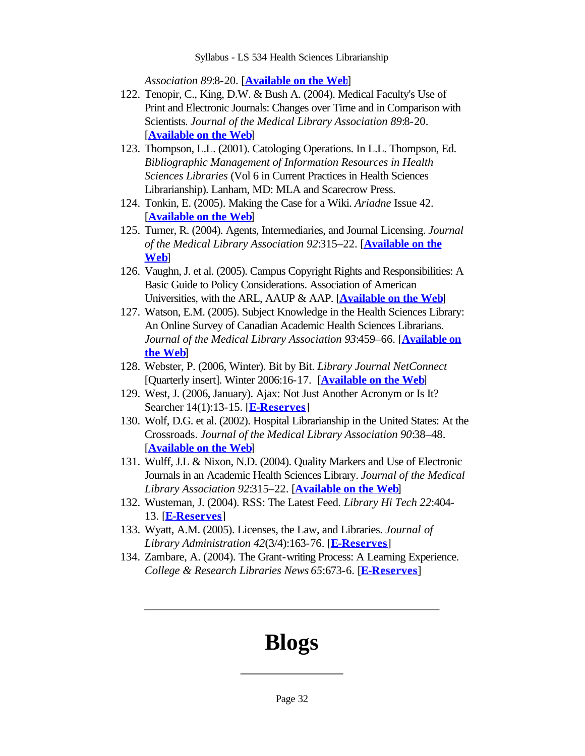*Association 89*:8-20. [**Available on the Web**]

- 122. Tenopir, C., King, D.W. & Bush A. (2004). Medical Faculty's Use of Print and Electronic Journals: Changes over Time and in Comparison with Scientists. *Journal of the Medical Library Association 89*:8-20. [**Available on the Web**]
- 123. Thompson, L.L. (2001). Catologing Operations. In L.L. Thompson, Ed. *Bibliographic Management of Information Resources in Health Sciences Libraries* (Vol 6 in Current Practices in Health Sciences Librarianship). Lanham, MD: MLA and Scarecrow Press.
- 124. Tonkin, E. (2005). Making the Case for a Wiki. *Ariadne* Issue 42. [**Available on the Web**]
- 125. Turner, R. (2004). Agents, Intermediaries, and Journal Licensing. *Journal of the Medical Library Association 92*:315–22. [**Available on the Web**]
- 126. Vaughn, J. et al. (2005). Campus Copyright Rights and Responsibilities: A Basic Guide to Policy Considerations. Association of American Universities, with the ARL, AAUP & AAP. [**Available on the Web**]
- 127. Watson, E.M. (2005). Subject Knowledge in the Health Sciences Library: An Online Survey of Canadian Academic Health Sciences Librarians. *Journal of the Medical Library Association 93*:459–66. [**Available on the Web**]
- Webster, P. (2006, Winter). Bit by Bit. *Library Journal NetConnect* 128. [Quarterly insert]. Winter 2006:16-17. [**Available on the Web**]
- 129. West, J. (2006, January). Ajax: Not Just Another Acronym or Is It? Searcher 14(1):13-15. [**E-Reserves**]
- 130. Wolf, D.G. et al. (2002). Hospital Librarianship in the United States: At the Crossroads. *Journal of the Medical Library Association 90*:38–48. [**Available on the Web**]
- 131. Wulff, J.L & Nixon, N.D. (2004). Quality Markers and Use of Electronic Journals in an Academic Health Sciences Library. *Journal of the Medical Library Association 92*:315–22. [**Available on the Web**]
- Wusteman, J. (2004). RSS: The Latest Feed. *Library Hi Tech 22*:404- 132. 13. [**E-Reserves**]
- Wyatt, A.M. (2005). Licenses, the Law, and Libraries. *Journal of*  133. *Library Administration 42*(3/4):163-76. [**E-Reserves**]
- 134. Zambare, A. (2004). The Grant-writing Process: A Learning Experience. *College & Research Libraries News 65*:673-6. [**E-Reserves**]

# **Blogs**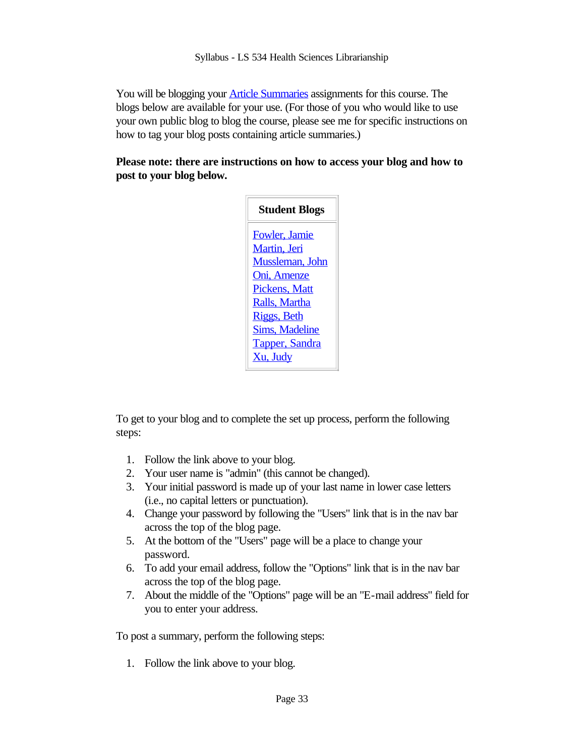You will be blogging your **Article Summaries** assignments for this course. The blogs below are available for your use. (For those of you who would like to use your own public blog to blog the course, please see me for specific instructions on how to tag your blog posts containing article summaries.)

### **Please note: there are instructions on how to access your blog and how to post to your blog below.**

| <b>Student Blogs</b>  |
|-----------------------|
| Fowler, Jamie         |
| Martin, Jeri          |
| Mussleman, John       |
| Oni, Amenze           |
| <b>Pickens, Matt</b>  |
| Ralls, Martha         |
| <b>Riggs</b> , Beth   |
| <b>Sims, Madeline</b> |
| Tapper, Sandra        |
| Xu, Judy              |

To get to your blog and to complete the set up process, perform the following steps:

- Follow the link above to your blog. 1.
- Your user name is "admin" (this cannot be changed). 2.
- Your initial password is made up of your last name in lower case letters 3. (i.e., no capital letters or punctuation).
- Change your password by following the "Users" link that is in the nav bar 4. across the top of the blog page.
- At the bottom of the "Users" page will be a place to change your 5. password.
- To add your email address, follow the "Options" link that is in the nav bar 6. across the top of the blog page.
- About the middle of the "Options" page will be an "E-mail address" field for 7. you to enter your address.

To post a summary, perform the following steps:

Follow the link above to your blog. 1.